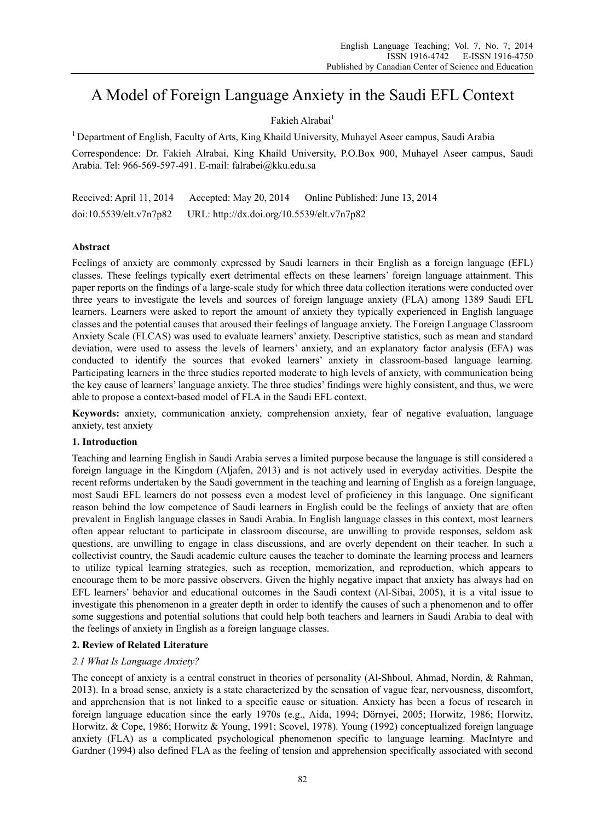# A Model of Foreign Language Anxiety in the Saudi EFL Context

# Fakieh Alrabai<sup>1</sup>

<sup>1</sup> Department of English, Faculty of Arts, King Khaild University, Muhayel Aseer campus, Saudi Arabia

Correspondence: Dr. Fakieh Alrabai, King Khaild University, P.O.Box 900, Muhayel Aseer campus, Saudi Arabia. Tel: 966-569-597-491. E-mail: falrabei@kku.edu.sa

Received: April 11, 2014 Accepted: May 20, 2014 Online Published: June 13, 2014 doi:10.5539/elt.v7n7p82 URL: http://dx.doi.org/10.5539/elt.v7n7p82

# **Abstract**

Feelings of anxiety are commonly expressed by Saudi learners in their English as a foreign language (EFL) classes. These feelings typically exert detrimental effects on these learners' foreign language attainment. This paper reports on the findings of a large-scale study for which three data collection iterations were conducted over three years to investigate the levels and sources of foreign language anxiety (FLA) among 1389 Saudi EFL learners. Learners were asked to report the amount of anxiety they typically experienced in English language classes and the potential causes that aroused their feelings of language anxiety. The Foreign Language Classroom Anxiety Scale (FLCAS) was used to evaluate learners' anxiety. Descriptive statistics, such as mean and standard deviation, were used to assess the levels of learners' anxiety, and an explanatory factor analysis (EFA) was conducted to identify the sources that evoked learners' anxiety in classroom-based language learning. Participating learners in the three studies reported moderate to high levels of anxiety, with communication being the key cause of learners' language anxiety. The three studies' findings were highly consistent, and thus, we were able to propose a context-based model of FLA in the Saudi EFL context.

**Keywords:** anxiety, communication anxiety, comprehension anxiety, fear of negative evaluation, language anxiety, test anxiety

## **1. Introduction**

Teaching and learning English in Saudi Arabia serves a limited purpose because the language is still considered a foreign language in the Kingdom (Aljafen, 2013) and is not actively used in everyday activities. Despite the recent reforms undertaken by the Saudi government in the teaching and learning of English as a foreign language, most Saudi EFL learners do not possess even a modest level of proficiency in this language. One significant reason behind the low competence of Saudi learners in English could be the feelings of anxiety that are often prevalent in English language classes in Saudi Arabia. In English language classes in this context, most learners often appear reluctant to participate in classroom discourse, are unwilling to provide responses, seldom ask questions, are unwilling to engage in class discussions, and are overly dependent on their teacher. In such a collectivist country, the Saudi academic culture causes the teacher to dominate the learning process and learners to utilize typical learning strategies, such as reception, memorization, and reproduction, which appears to encourage them to be more passive observers. Given the highly negative impact that anxiety has always had on EFL learners' behavior and educational outcomes in the Saudi context (Al-Sibai, 2005), it is a vital issue to investigate this phenomenon in a greater depth in order to identify the causes of such a phenomenon and to offer some suggestions and potential solutions that could help both teachers and learners in Saudi Arabia to deal with the feelings of anxiety in English as a foreign language classes.

## **2. Review of Related Literature**

## *2.1 What Is Language Anxiety?*

The concept of anxiety is a central construct in theories of personality (Al-Shboul, Ahmad, Nordin, & Rahman, 2013). In a broad sense, anxiety is a state characterized by the sensation of vague fear, nervousness, discomfort, and apprehension that is not linked to a specific cause or situation. Anxiety has been a focus of research in foreign language education since the early 1970s (e.g., Aida, 1994; Dörnyei, 2005; Horwitz, 1986; Horwitz, Horwitz, & Cope, 1986; Horwitz & Young, 1991; Scovel, 1978). Young (1992) conceptualized foreign language anxiety (FLA) as a complicated psychological phenomenon specific to language learning. MacIntyre and Gardner (1994) also defined FLA as the feeling of tension and apprehension specifically associated with second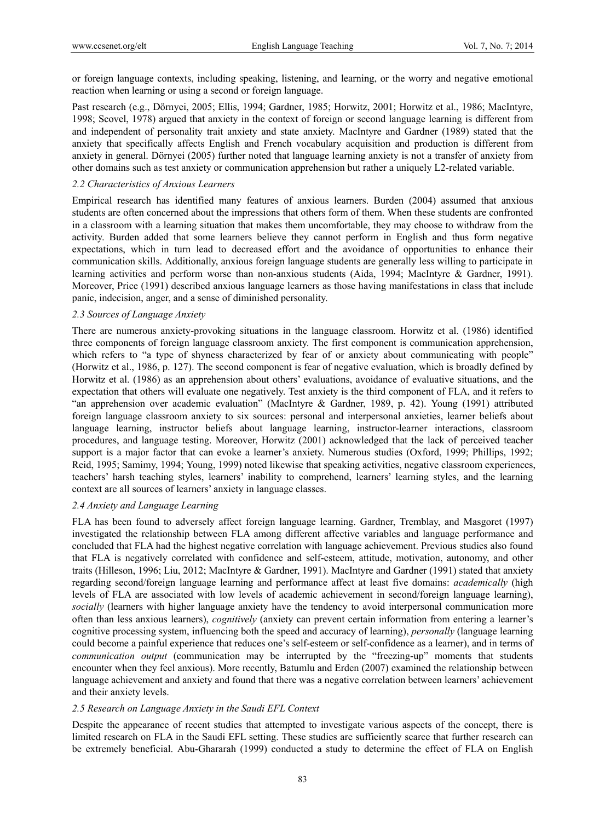or foreign language contexts, including speaking, listening, and learning, or the worry and negative emotional reaction when learning or using a second or foreign language.

Past research (e.g., Dörnyei, 2005; Ellis, 1994; Gardner, 1985; Horwitz, 2001; Horwitz et al., 1986; MacIntyre, 1998; Scovel, 1978) argued that anxiety in the context of foreign or second language learning is different from and independent of personality trait anxiety and state anxiety. MacIntyre and Gardner (1989) stated that the anxiety that specifically affects English and French vocabulary acquisition and production is different from anxiety in general. Dörnyei (2005) further noted that language learning anxiety is not a transfer of anxiety from other domains such as test anxiety or communication apprehension but rather a uniquely L2-related variable.

## *2.2 Characteristics of Anxious Learners*

Empirical research has identified many features of anxious learners. Burden (2004) assumed that anxious students are often concerned about the impressions that others form of them. When these students are confronted in a classroom with a learning situation that makes them uncomfortable, they may choose to withdraw from the activity. Burden added that some learners believe they cannot perform in English and thus form negative expectations, which in turn lead to decreased effort and the avoidance of opportunities to enhance their communication skills. Additionally, anxious foreign language students are generally less willing to participate in learning activities and perform worse than non-anxious students (Aida, 1994; MacIntyre & Gardner, 1991). Moreover, Price (1991) described anxious language learners as those having manifestations in class that include panic, indecision, anger, and a sense of diminished personality.

#### *2.3 Sources of Language Anxiety*

There are numerous anxiety-provoking situations in the language classroom. Horwitz et al. (1986) identified three components of foreign language classroom anxiety. The first component is communication apprehension, which refers to "a type of shyness characterized by fear of or anxiety about communicating with people" (Horwitz et al., 1986, p. 127). The second component is fear of negative evaluation, which is broadly defined by Horwitz et al. (1986) as an apprehension about others' evaluations, avoidance of evaluative situations, and the expectation that others will evaluate one negatively. Test anxiety is the third component of FLA, and it refers to "an apprehension over academic evaluation" (MacIntyre & Gardner, 1989, p. 42). Young (1991) attributed foreign language classroom anxiety to six sources: personal and interpersonal anxieties, learner beliefs about language learning, instructor beliefs about language learning, instructor-learner interactions, classroom procedures, and language testing. Moreover, Horwitz (2001) acknowledged that the lack of perceived teacher support is a major factor that can evoke a learner's anxiety. Numerous studies (Oxford, 1999; Phillips, 1992; Reid, 1995; Samimy, 1994; Young, 1999) noted likewise that speaking activities, negative classroom experiences, teachers' harsh teaching styles, learners' inability to comprehend, learners' learning styles, and the learning context are all sources of learners' anxiety in language classes.

## *2.4 Anxiety and Language Learning*

FLA has been found to adversely affect foreign language learning. Gardner, Tremblay, and Masgoret (1997) investigated the relationship between FLA among different affective variables and language performance and concluded that FLA had the highest negative correlation with language achievement. Previous studies also found that FLA is negatively correlated with confidence and self-esteem, attitude, motivation, autonomy, and other traits (Hilleson, 1996; Liu, 2012; MacIntyre & Gardner, 1991). MacIntyre and Gardner (1991) stated that anxiety regarding second/foreign language learning and performance affect at least five domains: *academically* (high levels of FLA are associated with low levels of academic achievement in second/foreign language learning), *socially* (learners with higher language anxiety have the tendency to avoid interpersonal communication more often than less anxious learners), *cognitively* (anxiety can prevent certain information from entering a learner's cognitive processing system, influencing both the speed and accuracy of learning), *personally* (language learning could become a painful experience that reduces one's self-esteem or self-confidence as a learner), and in terms of *communication output* (communication may be interrupted by the "freezing-up" moments that students encounter when they feel anxious). More recently, Batumlu and Erden (2007) examined the relationship between language achievement and anxiety and found that there was a negative correlation between learners' achievement and their anxiety levels.

## *2.5 Research on Language Anxiety in the Saudi EFL Context*

Despite the appearance of recent studies that attempted to investigate various aspects of the concept, there is limited research on FLA in the Saudi EFL setting. These studies are sufficiently scarce that further research can be extremely beneficial. Abu-Ghararah (1999) conducted a study to determine the effect of FLA on English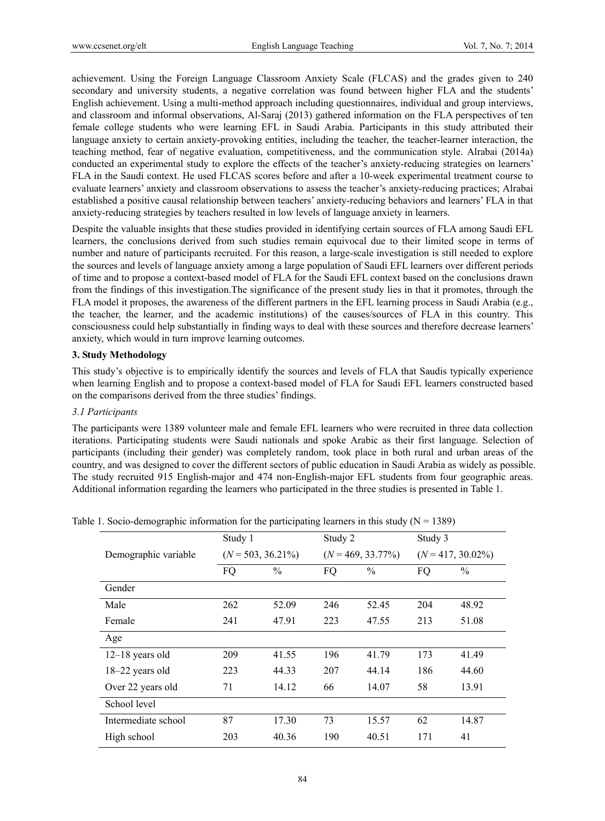achievement. Using the Foreign Language Classroom Anxiety Scale (FLCAS) and the grades given to 240 secondary and university students, a negative correlation was found between higher FLA and the students' English achievement. Using a multi-method approach including questionnaires, individual and group interviews, and classroom and informal observations, Al-Saraj (2013) gathered information on the FLA perspectives of ten female college students who were learning EFL in Saudi Arabia. Participants in this study attributed their language anxiety to certain anxiety-provoking entities, including the teacher, the teacher-learner interaction, the teaching method, fear of negative evaluation, competitiveness, and the communication style. Alrabai (2014a) conducted an experimental study to explore the effects of the teacher's anxiety-reducing strategies on learners' FLA in the Saudi context. He used FLCAS scores before and after a 10-week experimental treatment course to evaluate learners' anxiety and classroom observations to assess the teacher's anxiety-reducing practices; Alrabai established a positive causal relationship between teachers' anxiety-reducing behaviors and learners' FLA in that anxiety-reducing strategies by teachers resulted in low levels of language anxiety in learners.

Despite the valuable insights that these studies provided in identifying certain sources of FLA among Saudi EFL learners, the conclusions derived from such studies remain equivocal due to their limited scope in terms of number and nature of participants recruited. For this reason, a large-scale investigation is still needed to explore the sources and levels of language anxiety among a large population of Saudi EFL learners over different periods of time and to propose a context-based model of FLA for the Saudi EFL context based on the conclusions drawn from the findings of this investigation.The significance of the present study lies in that it promotes, through the FLA model it proposes, the awareness of the different partners in the EFL learning process in Saudi Arabia (e.g., the teacher, the learner, and the academic institutions) of the causes/sources of FLA in this country. This consciousness could help substantially in finding ways to deal with these sources and therefore decrease learners' anxiety, which would in turn improve learning outcomes.

## **3. Study Methodology**

This study's objective is to empirically identify the sources and levels of FLA that Saudis typically experience when learning English and to propose a context-based model of FLA for Saudi EFL learners constructed based on the comparisons derived from the three studies' findings.

## *3.1 Participants*

The participants were 1389 volunteer male and female EFL learners who were recruited in three data collection iterations. Participating students were Saudi nationals and spoke Arabic as their first language. Selection of participants (including their gender) was completely random, took place in both rural and urban areas of the country, and was designed to cover the different sectors of public education in Saudi Arabia as widely as possible. The study recruited 915 English-major and 474 non-English-major EFL students from four geographic areas. Additional information regarding the learners who participated in the three studies is presented in Table 1.

|                      | Study 1 |                      | Study 2 |                      | Study 3 |                      |
|----------------------|---------|----------------------|---------|----------------------|---------|----------------------|
| Demographic variable |         | $(N = 503, 36.21\%)$ |         | $(N = 469, 33.77\%)$ |         | $(N = 417, 30.02\%)$ |
|                      | FQ      | $\frac{0}{0}$        | FQ      | $\%$                 | FQ      | $\frac{0}{0}$        |
| Gender               |         |                      |         |                      |         |                      |
| Male                 | 262     | 52.09                | 246     | 52.45                | 204     | 48.92                |
| Female               | 241     | 47.91                | 223     | 47.55                | 213     | 51.08                |
| Age                  |         |                      |         |                      |         |                      |
| $12-18$ years old    | 209     | 41.55                | 196     | 41.79                | 173     | 41.49                |
| 18–22 years old      | 223     | 44.33                | 207     | 44.14                | 186     | 44.60                |
| Over 22 years old    | 71      | 14.12                | 66      | 14.07                | 58      | 13.91                |
| School level         |         |                      |         |                      |         |                      |
| Intermediate school  | 87      | 17.30                | 73      | 15.57                | 62      | 14.87                |
| High school          | 203     | 40.36                | 190     | 40.51                | 171     | 41                   |

Table 1. Socio-demographic information for the participating learners in this study  $(N = 1389)$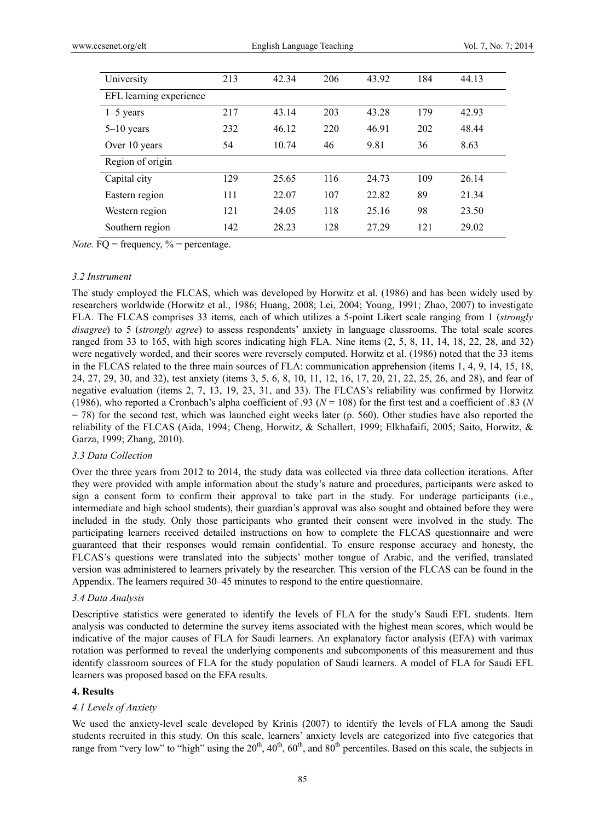| University              | 213 | 42.34 | 206 | 43.92 | 184 | 44.13 |
|-------------------------|-----|-------|-----|-------|-----|-------|
| EFL learning experience |     |       |     |       |     |       |
| $1-5$ years             | 217 | 43.14 | 203 | 43.28 | 179 | 42.93 |
| $5-10$ years            | 232 | 46.12 | 220 | 46.91 | 202 | 48.44 |
| Over 10 years           | 54  | 10.74 | 46  | 9.81  | 36  | 8.63  |
| Region of origin        |     |       |     |       |     |       |
| Capital city            | 129 | 25.65 | 116 | 24.73 | 109 | 26.14 |
| Eastern region          | 111 | 22.07 | 107 | 22.82 | 89  | 21.34 |
| Western region          | 121 | 24.05 | 118 | 25.16 | 98  | 23.50 |
| Southern region         | 142 | 28.23 | 128 | 27.29 | 121 | 29.02 |

*Note.*  $\text{FO} = \text{frequency}, \frac{9}{6} = \text{percentage}.$ 

#### *3.2 Instrument*

The study employed the FLCAS, which was developed by Horwitz et al. (1986) and has been widely used by researchers worldwide (Horwitz et al., 1986; Huang, 2008; Lei, 2004; Young, 1991; Zhao, 2007) to investigate FLA. The FLCAS comprises 33 items, each of which utilizes a 5-point Likert scale ranging from 1 (*strongly disagree*) to 5 (*strongly agree*) to assess respondents' anxiety in language classrooms. The total scale scores ranged from 33 to 165, with high scores indicating high FLA. Nine items (2, 5, 8, 11, 14, 18, 22, 28, and 32) were negatively worded, and their scores were reversely computed. Horwitz et al. (1986) noted that the 33 items in the FLCAS related to the three main sources of FLA: communication apprehension (items 1, 4, 9, 14, 15, 18, 24, 27, 29, 30, and 32), test anxiety (items 3, 5, 6, 8, 10, 11, 12, 16, 17, 20, 21, 22, 25, 26, and 28), and fear of negative evaluation (items 2, 7, 13, 19, 23, 31, and 33). The FLCAS's reliability was confirmed by Horwitz (1986), who reported a Cronbach's alpha coefficient of .93 ( $N = 108$ ) for the first test and a coefficient of .83 (*N* = 78) for the second test, which was launched eight weeks later (p. 560). Other studies have also reported the reliability of the FLCAS (Aida, 1994; Cheng, Horwitz, & Schallert, 1999; Elkhafaifi, 2005; Saito, Horwitz, & Garza, 1999; Zhang, 2010).

## *3.3 Data Collection*

Over the three years from 2012 to 2014, the study data was collected via three data collection iterations. After they were provided with ample information about the study's nature and procedures, participants were asked to sign a consent form to confirm their approval to take part in the study. For underage participants (i.e., intermediate and high school students), their guardian's approval was also sought and obtained before they were included in the study. Only those participants who granted their consent were involved in the study. The participating learners received detailed instructions on how to complete the FLCAS questionnaire and were guaranteed that their responses would remain confidential. To ensure response accuracy and honesty, the FLCAS's questions were translated into the subjects' mother tongue of Arabic, and the verified, translated version was administered to learners privately by the researcher. This version of the FLCAS can be found in the Appendix. The learners required 30–45 minutes to respond to the entire questionnaire.

## *3.4 Data Analysis*

Descriptive statistics were generated to identify the levels of FLA for the study's Saudi EFL students. Item analysis was conducted to determine the survey items associated with the highest mean scores, which would be indicative of the major causes of FLA for Saudi learners. An explanatory factor analysis (EFA) with varimax rotation was performed to reveal the underlying components and subcomponents of this measurement and thus identify classroom sources of FLA for the study population of Saudi learners. A model of FLA for Saudi EFL learners was proposed based on the EFA results.

# **4. Results**

#### *4.1 Levels of Anxiety*

We used the anxiety-level scale developed by Krinis (2007) to identify the levels of FLA among the Saudi students recruited in this study. On this scale, learners' anxiety levels are categorized into five categories that range from "very low" to "high" using the  $20<sup>th</sup>$ ,  $40<sup>th</sup>$ ,  $60<sup>th</sup>$ , and  $80<sup>th</sup>$  percentiles. Based on this scale, the subjects in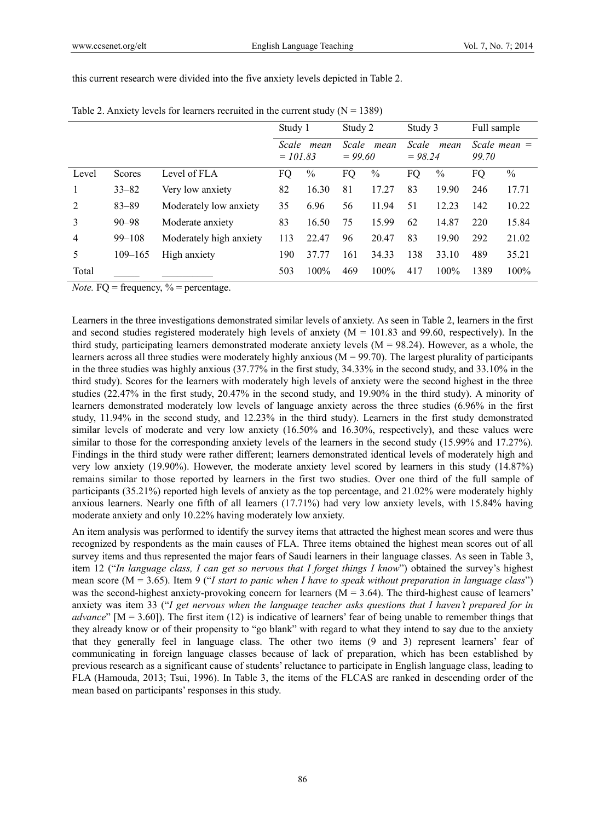|                | THE 2. THIRTCH TOYOTS TOT TOWNTHOLD FOOTBILOG IN THE OBTION SHARP (13<br>1 J V J I |                         |                     |               |                    |               |                    |       |             |                |  |  |
|----------------|------------------------------------------------------------------------------------|-------------------------|---------------------|---------------|--------------------|---------------|--------------------|-------|-------------|----------------|--|--|
|                |                                                                                    |                         | Study 1             |               | Study 2            |               | Study 3            |       | Full sample |                |  |  |
|                |                                                                                    |                         | Scale<br>$= 101.83$ | mean          | Scale<br>$= 99.60$ | mean          | Scale<br>$= 98.24$ | mean  | 99.70       | Scale mean $=$ |  |  |
| Level          | <b>Scores</b>                                                                      | Level of FLA            | FQ                  | $\frac{0}{0}$ | FQ                 | $\frac{0}{0}$ | FQ                 | $\%$  | FQ          | $\frac{0}{0}$  |  |  |
| 1              | $33 - 82$                                                                          | Very low anxiety        | 82                  | 16.30         | 81                 | 17.27         | 83                 | 19.90 | 246         | 17.71          |  |  |
| 2              | $83 - 89$                                                                          | Moderately low anxiety  | 35                  | 6.96          | 56                 | 11.94         | 51                 | 12.23 | 142         | 10.22          |  |  |
| 3              | $90 - 98$                                                                          | Moderate anxiety        | 83                  | 16.50         | 75                 | 15.99         | 62                 | 14.87 | 220         | 15.84          |  |  |
| $\overline{4}$ | $99 - 108$                                                                         | Moderately high anxiety | 113                 | 22.47         | 96                 | 20.47         | 83                 | 19.90 | 292         | 21.02          |  |  |
| 5              | $109 - 165$                                                                        | High anxiety            | 190                 | 37.77         | 161                | 34.33         | 138                | 33.10 | 489         | 35.21          |  |  |
| Total          |                                                                                    |                         | 503                 | $100\%$       | 469                | 100%          | 417                | 100%  | 1389        | 100%           |  |  |

this current research were divided into the five anxiety levels depicted in Table 2.

Table 2. Anxiety levels for learners recruited in the current study  $(N = 1389)$ 

*Note.*  $\text{FQ} = \text{frequency}, \frac{\%}{\%} = \text{percentage}.$ 

Learners in the three investigations demonstrated similar levels of anxiety. As seen in Table 2, learners in the first and second studies registered moderately high levels of anxiety  $(M = 101.83$  and 99.60, respectively). In the third study, participating learners demonstrated moderate anxiety levels  $(M = 98.24)$ . However, as a whole, the learners across all three studies were moderately highly anxious  $(M = 99.70)$ . The largest plurality of participants in the three studies was highly anxious (37.77% in the first study, 34.33% in the second study, and 33.10% in the third study). Scores for the learners with moderately high levels of anxiety were the second highest in the three studies (22.47% in the first study, 20.47% in the second study, and 19.90% in the third study). A minority of learners demonstrated moderately low levels of language anxiety across the three studies (6.96% in the first study, 11.94% in the second study, and 12.23% in the third study). Learners in the first study demonstrated similar levels of moderate and very low anxiety (16.50% and 16.30%, respectively), and these values were similar to those for the corresponding anxiety levels of the learners in the second study (15.99% and 17.27%). Findings in the third study were rather different; learners demonstrated identical levels of moderately high and very low anxiety (19.90%). However, the moderate anxiety level scored by learners in this study (14.87%) remains similar to those reported by learners in the first two studies. Over one third of the full sample of participants (35.21%) reported high levels of anxiety as the top percentage, and 21.02% were moderately highly anxious learners. Nearly one fifth of all learners (17.71%) had very low anxiety levels, with 15.84% having moderate anxiety and only 10.22% having moderately low anxiety.

An item analysis was performed to identify the survey items that attracted the highest mean scores and were thus recognized by respondents as the main causes of FLA. Three items obtained the highest mean scores out of all survey items and thus represented the major fears of Saudi learners in their language classes. As seen in Table 3, item 12 ("*In language class, I can get so nervous that I forget things I know*") obtained the survey's highest mean score (M = 3.65). Item 9 ("*I start to panic when I have to speak without preparation in language class*") was the second-highest anxiety-provoking concern for learners  $(M = 3.64)$ . The third-highest cause of learners' anxiety was item 33 ("*I get nervous when the language teacher asks questions that I haven't prepared for in advance*" [M = 3.60]). The first item (12) is indicative of learners' fear of being unable to remember things that they already know or of their propensity to "go blank" with regard to what they intend to say due to the anxiety that they generally feel in language class. The other two items (9 and 3) represent learners' fear of communicating in foreign language classes because of lack of preparation, which has been established by previous research as a significant cause of students' reluctance to participate in English language class, leading to FLA (Hamouda, 2013; Tsui, 1996). In Table 3, the items of the FLCAS are ranked in descending order of the mean based on participants' responses in this study.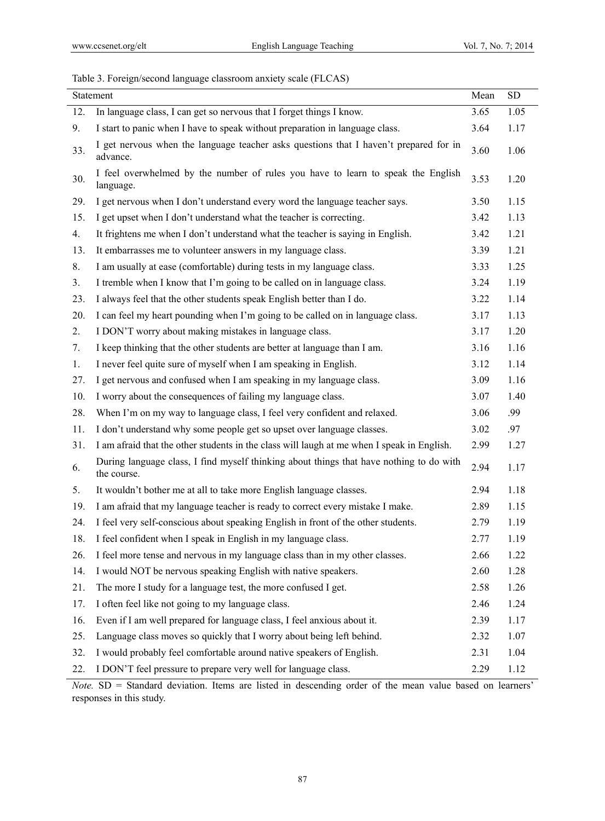|  | Table 3. Foreign/second language classroom anxiety scale (FLCAS) |  |  |
|--|------------------------------------------------------------------|--|--|
|  |                                                                  |  |  |

|     | Statement                                                                                              | Mean | SD   |
|-----|--------------------------------------------------------------------------------------------------------|------|------|
| 12. | In language class, I can get so nervous that I forget things I know.                                   | 3.65 | 1.05 |
| 9.  | I start to panic when I have to speak without preparation in language class.                           | 3.64 | 1.17 |
| 33. | I get nervous when the language teacher asks questions that I haven't prepared for in<br>advance.      | 3.60 | 1.06 |
| 30. | I feel overwhelmed by the number of rules you have to learn to speak the English<br>language.          | 3.53 | 1.20 |
| 29. | I get nervous when I don't understand every word the language teacher says.                            | 3.50 | 1.15 |
| 15. | I get upset when I don't understand what the teacher is correcting.                                    | 3.42 | 1.13 |
| 4.  | It frightens me when I don't understand what the teacher is saying in English.                         | 3.42 | 1.21 |
| 13. | It embarrasses me to volunteer answers in my language class.                                           | 3.39 | 1.21 |
| 8.  | I am usually at ease (comfortable) during tests in my language class.                                  | 3.33 | 1.25 |
| 3.  | I tremble when I know that I'm going to be called on in language class.                                | 3.24 | 1.19 |
| 23. | I always feel that the other students speak English better than I do.                                  | 3.22 | 1.14 |
| 20. | I can feel my heart pounding when I'm going to be called on in language class.                         | 3.17 | 1.13 |
| 2.  | I DON'T worry about making mistakes in language class.                                                 | 3.17 | 1.20 |
| 7.  | I keep thinking that the other students are better at language than I am.                              | 3.16 | 1.16 |
| 1.  | I never feel quite sure of myself when I am speaking in English.                                       | 3.12 | 1.14 |
| 27. | I get nervous and confused when I am speaking in my language class.                                    | 3.09 | 1.16 |
| 10. | I worry about the consequences of failing my language class.                                           | 3.07 | 1.40 |
| 28. | When I'm on my way to language class, I feel very confident and relaxed.                               | 3.06 | .99  |
| 11. | I don't understand why some people get so upset over language classes.                                 | 3.02 | .97  |
| 31. | I am afraid that the other students in the class will laugh at me when I speak in English.             | 2.99 | 1.27 |
| 6.  | During language class, I find myself thinking about things that have nothing to do with<br>the course. | 2.94 | 1.17 |
| 5.  | It wouldn't bother me at all to take more English language classes.                                    | 2.94 | 1.18 |
| 19. | I am afraid that my language teacher is ready to correct every mistake I make.                         | 2.89 | 1.15 |
| 24. | I feel very self-conscious about speaking English in front of the other students.                      | 2.79 | 1.19 |
| 18. | I feel confident when I speak in English in my language class.                                         | 2.77 | 1.19 |
| 26. | I feel more tense and nervous in my language class than in my other classes.                           | 2.66 | 1.22 |
| 14. | I would NOT be nervous speaking English with native speakers.                                          | 2.60 | 1.28 |
| 21. | The more I study for a language test, the more confused I get.                                         | 2.58 | 1.26 |
| 17. | I often feel like not going to my language class.                                                      | 2.46 | 1.24 |
| 16. | Even if I am well prepared for language class, I feel anxious about it.                                | 2.39 | 1.17 |
| 25. | Language class moves so quickly that I worry about being left behind.                                  | 2.32 | 1.07 |
| 32. | I would probably feel comfortable around native speakers of English.                                   | 2.31 | 1.04 |
| 22. | I DON'T feel pressure to prepare very well for language class.                                         | 2.29 | 1.12 |

*Note.* SD = Standard deviation. Items are listed in descending order of the mean value based on learners' responses in this study.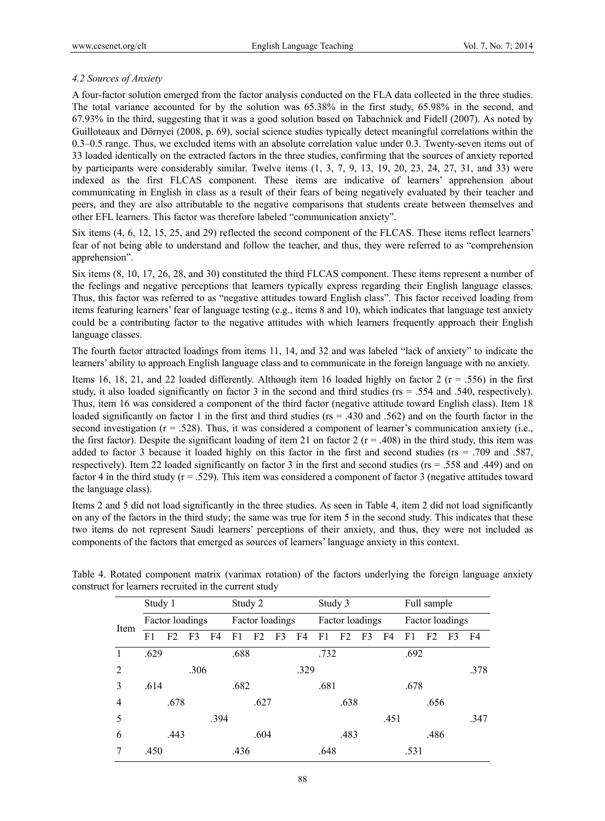## *4.2 Sources of Anxiety*

A four-factor solution emerged from the factor analysis conducted on the FLA data collected in the three studies. The total variance accounted for by the solution was 65.38% in the first study, 65.98% in the second, and 67.93% in the third, suggesting that it was a good solution based on Tabachnick and Fidell (2007). As noted by Guilloteaux and Dörnyei (2008, p. 69), social science studies typically detect meaningful correlations within the 0.3–0.5 range. Thus, we excluded items with an absolute correlation value under 0.3. Twenty-seven items out of 33 loaded identically on the extracted factors in the three studies, confirming that the sources of anxiety reported by participants were considerably similar. Twelve items (1, 3, 7, 9, 13, 19, 20, 23, 24, 27, 31, and 33) were indexed as the first FLCAS component. These items are indicative of learners' apprehension about communicating in English in class as a result of their fears of being negatively evaluated by their teacher and peers, and they are also attributable to the negative comparisons that students create between themselves and other EFL learners. This factor was therefore labeled "communication anxiety".

Six items (4, 6, 12, 15, 25, and 29) reflected the second component of the FLCAS. These items reflect learners' fear of not being able to understand and follow the teacher, and thus, they were referred to as "comprehension apprehension".

Six items (8, 10, 17, 26, 28, and 30) constituted the third FLCAS component. These items represent a number of the feelings and negative perceptions that learners typically express regarding their English language classes. Thus, this factor was referred to as "negative attitudes toward English class". This factor received loading from items featuring learners' fear of language testing (e.g., items 8 and 10), which indicates that language test anxiety could be a contributing factor to the negative attitudes with which learners frequently approach their English language classes.

The fourth factor attracted loadings from items 11, 14, and 32 and was labeled "lack of anxiety" to indicate the learners' ability to approach English language class and to communicate in the foreign language with no anxiety.

Items 16, 18, 21, and 22 loaded differently. Although item 16 loaded highly on factor 2 ( $r = .556$ ) in the first study, it also loaded significantly on factor 3 in the second and third studies (rs = .554 and .540, respectively). Thus, item 16 was considered a component of the third factor (negative attitude toward English class). Item 18 loaded significantly on factor 1 in the first and third studies ( $rs = .430$  and .562) and on the fourth factor in the second investigation  $(r = .528)$ . Thus, it was considered a component of learner's communication anxiety (i.e., the first factor). Despite the significant loading of item 21 on factor 2 ( $r = .408$ ) in the third study, this item was added to factor 3 because it loaded highly on this factor in the first and second studies (rs = .709 and .587, respectively). Item 22 loaded significantly on factor 3 in the first and second studies (rs = .558 and .449) and on factor 4 in the third study ( $r = .529$ ). This item was considered a component of factor 3 (negative attitudes toward the language class).

Items 2 and 5 did not load significantly in the three studies. As seen in Table 4, item 2 did not load significantly on any of the factors in the third study; the same was true for item 5 in the second study. This indicates that these two items do not represent Saudi learners' perceptions of their anxiety, and thus, they were not included as components of the factors that emerged as sources of learners' language anxiety in this context.

|      | Study 1         |                |      |      |                 | Study 2        |    |                 | Study 3 |                |    |                 |      | Full sample    |    |      |
|------|-----------------|----------------|------|------|-----------------|----------------|----|-----------------|---------|----------------|----|-----------------|------|----------------|----|------|
| Item | Factor loadings |                |      |      | Factor loadings |                |    | Factor loadings |         |                |    | Factor loadings |      |                |    |      |
|      | F1              | F <sub>2</sub> | F3   | F4   | F1              | F <sub>2</sub> | F3 | F4              | F1      | F <sub>2</sub> | F3 | F4              | F1   | F <sub>2</sub> | F3 | F4   |
|      | .629            |                |      |      | .688            |                |    |                 | .732    |                |    |                 | .692 |                |    |      |
| 2    |                 |                | .306 |      |                 |                |    | .329            |         |                |    |                 |      |                |    | .378 |
| 3    | .614            |                |      |      | .682            |                |    |                 | .681    |                |    |                 | .678 |                |    |      |
| 4    |                 | .678           |      |      |                 | .627           |    |                 |         | .638           |    |                 |      | .656           |    |      |
| 5    |                 |                |      | .394 |                 |                |    |                 |         |                |    | .451            |      |                |    | .347 |
| 6    |                 | .443           |      |      |                 | .604           |    |                 |         | .483           |    |                 |      | .486           |    |      |
|      | .450            |                |      |      | .436            |                |    |                 | .648    |                |    |                 | .531 |                |    |      |

Table 4. Rotated component matrix (varimax rotation) of the factors underlying the foreign language anxiety construct for learners recruited in the current study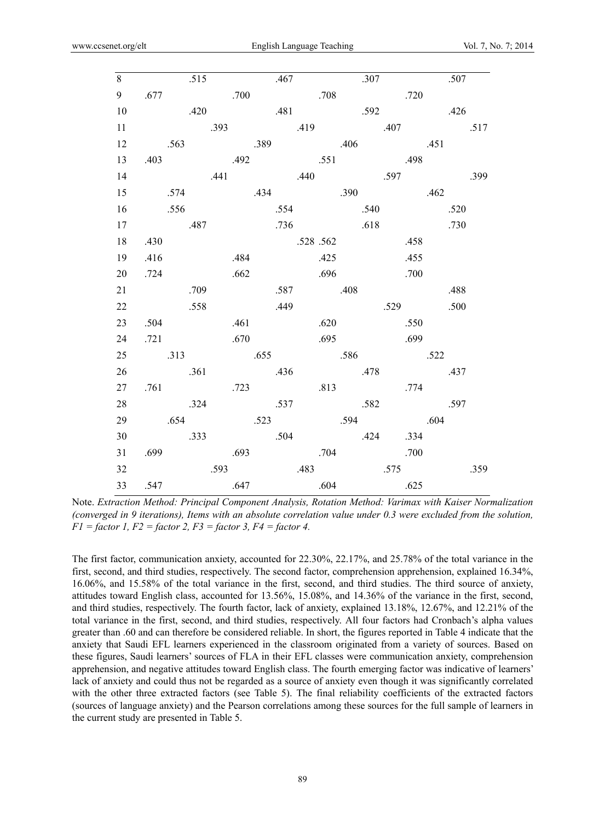| $\overline{8}$ |      | .515 |      | .467 |           | .307 |      | .507 |
|----------------|------|------|------|------|-----------|------|------|------|
| $\overline{9}$ | .677 |      | .700 |      | .708      |      | .720 |      |
| 10             |      | .420 |      | .481 |           | .592 |      | .426 |
| 11             |      | .393 |      |      | .419      |      | .407 | .517 |
| 12             | .563 |      | .389 |      |           | .406 |      | .451 |
| 13             | .403 |      | .492 |      | .551      |      | .498 |      |
| 14             |      |      | .441 |      | .440      |      | .597 | .399 |
| 15             | .574 |      |      | .434 |           | .390 |      | .462 |
| 16             | .556 |      |      | .554 |           | .540 |      | .520 |
| 17             |      | .487 |      | .736 |           | .618 |      | .730 |
| 18             | .430 |      |      |      | .528 .562 |      | .458 |      |
| 19             | .416 |      | .484 |      | .425      |      | .455 |      |
| 20             | .724 |      | .662 |      | .696      |      | .700 |      |
| $21\,$         |      | .709 |      | .587 |           | .408 |      | .488 |
| $22\,$         |      | .558 |      | .449 |           |      | .529 | .500 |
| 23             | .504 |      | .461 |      | .620      |      | .550 |      |
| 24             | .721 |      | .670 |      | .695      |      | .699 |      |
| 25             |      | .313 |      | .655 |           | .586 |      | .522 |
| $26\,$         |      | .361 |      | .436 |           | .478 |      | .437 |
| $27\,$         | .761 |      | .723 |      | .813      |      | .774 |      |
| $28\,$         |      | .324 |      | .537 |           | .582 |      | .597 |
| 29             |      | .654 | .523 |      |           | .594 |      | .604 |
| 30             |      | .333 |      | .504 |           | .424 | .334 |      |
| 31             | .699 |      | .693 |      | .704      |      | .700 |      |
| 32             |      |      | .593 |      | .483      |      | .575 | .359 |
| 33             | .547 |      | .647 |      | .604      |      | .625 |      |

Note. *Extraction Method: Principal Component Analysis, Rotation Method: Varimax with Kaiser Normalization (converged in 9 iterations), Items with an absolute correlation value under 0.3 were excluded from the solution, F1 = factor 1, F2 = factor 2, F3 = factor 3, F4 = factor 4.* 

The first factor, communication anxiety, accounted for 22.30%, 22.17%, and 25.78% of the total variance in the first, second, and third studies, respectively. The second factor, comprehension apprehension, explained 16.34%, 16.06%, and 15.58% of the total variance in the first, second, and third studies. The third source of anxiety, attitudes toward English class, accounted for 13.56%, 15.08%, and 14.36% of the variance in the first, second, and third studies, respectively. The fourth factor, lack of anxiety, explained 13.18%, 12.67%, and 12.21% of the total variance in the first, second, and third studies, respectively. All four factors had Cronbach's alpha values greater than .60 and can therefore be considered reliable. In short, the figures reported in Table 4 indicate that the anxiety that Saudi EFL learners experienced in the classroom originated from a variety of sources. Based on these figures, Saudi learners' sources of FLA in their EFL classes were communication anxiety, comprehension apprehension, and negative attitudes toward English class. The fourth emerging factor was indicative of learners' lack of anxiety and could thus not be regarded as a source of anxiety even though it was significantly correlated with the other three extracted factors (see Table 5). The final reliability coefficients of the extracted factors (sources of language anxiety) and the Pearson correlations among these sources for the full sample of learners in the current study are presented in Table 5.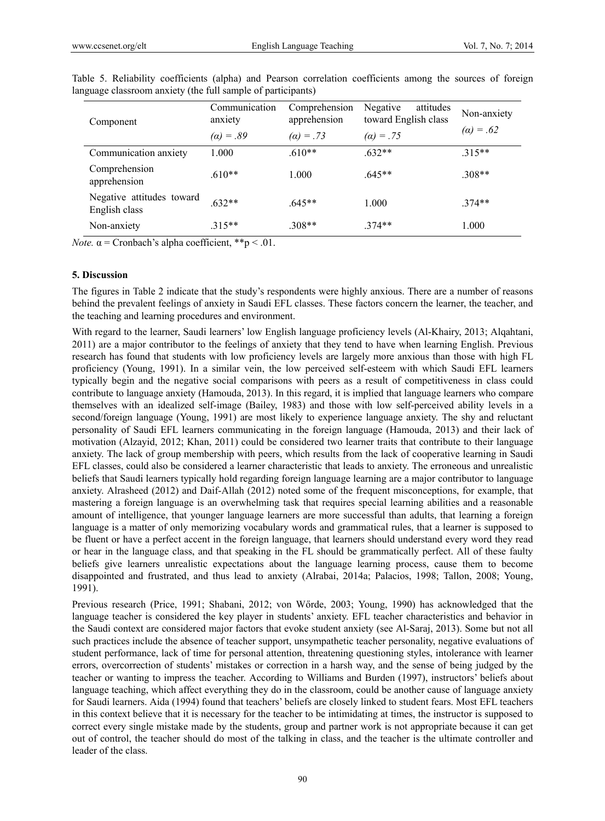| Component                                  | Communication<br>anxiety | Comprehension<br>apprehension | Negative<br>attitudes<br>toward English class | Non-anxiety      |
|--------------------------------------------|--------------------------|-------------------------------|-----------------------------------------------|------------------|
|                                            | $(\alpha) = .89$         | $(\alpha) = .73$              | $(\alpha) = .75$                              | $(\alpha) = .62$ |
| Communication anxiety                      | 1.000                    | $.610**$                      | $.632**$                                      | $315**$          |
| Comprehension<br>apprehension              | $.610**$                 | 1.000                         | $.645**$                                      | $.308**$         |
| Negative attitudes toward<br>English class | $.632**$                 | $.645**$                      | 1.000                                         | $.374**$         |
| Non-anxiety                                | $315**$                  | $.308**$                      | $.374**$                                      | 1.000            |

Table 5. Reliability coefficients (alpha) and Pearson correlation coefficients among the sources of foreign language classroom anxiety (the full sample of participants)

*Note.*  $\alpha$  = Cronbach's alpha coefficient, \*\*p < .01.

#### **5. Discussion**

The figures in Table 2 indicate that the study's respondents were highly anxious. There are a number of reasons behind the prevalent feelings of anxiety in Saudi EFL classes. These factors concern the learner, the teacher, and the teaching and learning procedures and environment.

With regard to the learner, Saudi learners' low English language proficiency levels (Al-Khairy, 2013; Alqahtani, 2011) are a major contributor to the feelings of anxiety that they tend to have when learning English. Previous research has found that students with low proficiency levels are largely more anxious than those with high FL proficiency (Young, 1991). In a similar vein, the low perceived self-esteem with which Saudi EFL learners typically begin and the negative social comparisons with peers as a result of competitiveness in class could contribute to language anxiety (Hamouda, 2013). In this regard, it is implied that language learners who compare themselves with an idealized self-image (Bailey, 1983) and those with low self-perceived ability levels in a second/foreign language (Young, 1991) are most likely to experience language anxiety. The shy and reluctant personality of Saudi EFL learners communicating in the foreign language (Hamouda, 2013) and their lack of motivation (Alzayid, 2012; Khan, 2011) could be considered two learner traits that contribute to their language anxiety. The lack of group membership with peers, which results from the lack of cooperative learning in Saudi EFL classes, could also be considered a learner characteristic that leads to anxiety. The erroneous and unrealistic beliefs that Saudi learners typically hold regarding foreign language learning are a major contributor to language anxiety. Alrasheed (2012) and Daif-Allah (2012) noted some of the frequent misconceptions, for example, that mastering a foreign language is an overwhelming task that requires special learning abilities and a reasonable amount of intelligence, that younger language learners are more successful than adults, that learning a foreign language is a matter of only memorizing vocabulary words and grammatical rules, that a learner is supposed to be fluent or have a perfect accent in the foreign language, that learners should understand every word they read or hear in the language class, and that speaking in the FL should be grammatically perfect. All of these faulty beliefs give learners unrealistic expectations about the language learning process, cause them to become disappointed and frustrated, and thus lead to anxiety (Alrabai, 2014a; Palacios, 1998; Tallon, 2008; Young, 1991).

Previous research (Price, 1991; Shabani, 2012; von Wőrde, 2003; Young, 1990) has acknowledged that the language teacher is considered the key player in students' anxiety. EFL teacher characteristics and behavior in the Saudi context are considered major factors that evoke student anxiety (see Al-Saraj, 2013). Some but not all such practices include the absence of teacher support, unsympathetic teacher personality, negative evaluations of student performance, lack of time for personal attention, threatening questioning styles, intolerance with learner errors, overcorrection of students' mistakes or correction in a harsh way, and the sense of being judged by the teacher or wanting to impress the teacher. According to Williams and Burden (1997), instructors' beliefs about language teaching, which affect everything they do in the classroom, could be another cause of language anxiety for Saudi learners. Aida (1994) found that teachers' beliefs are closely linked to student fears. Most EFL teachers in this context believe that it is necessary for the teacher to be intimidating at times, the instructor is supposed to correct every single mistake made by the students, group and partner work is not appropriate because it can get out of control, the teacher should do most of the talking in class, and the teacher is the ultimate controller and leader of the class.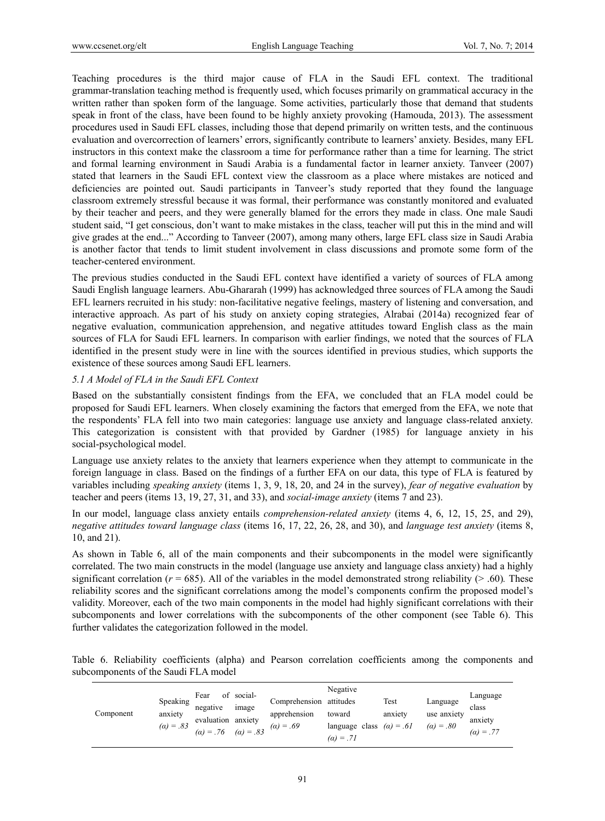Teaching procedures is the third major cause of FLA in the Saudi EFL context. The traditional grammar-translation teaching method is frequently used, which focuses primarily on grammatical accuracy in the written rather than spoken form of the language. Some activities, particularly those that demand that students speak in front of the class, have been found to be highly anxiety provoking (Hamouda, 2013). The assessment procedures used in Saudi EFL classes, including those that depend primarily on written tests, and the continuous evaluation and overcorrection of learners' errors, significantly contribute to learners' anxiety. Besides, many EFL instructors in this context make the classroom a time for performance rather than a time for learning. The strict and formal learning environment in Saudi Arabia is a fundamental factor in learner anxiety. Tanveer (2007) stated that learners in the Saudi EFL context view the classroom as a place where mistakes are noticed and deficiencies are pointed out. Saudi participants in Tanveer's study reported that they found the language classroom extremely stressful because it was formal, their performance was constantly monitored and evaluated by their teacher and peers, and they were generally blamed for the errors they made in class. One male Saudi student said, "I get conscious, don't want to make mistakes in the class, teacher will put this in the mind and will give grades at the end..." According to Tanveer (2007), among many others, large EFL class size in Saudi Arabia is another factor that tends to limit student involvement in class discussions and promote some form of the teacher-centered environment.

The previous studies conducted in the Saudi EFL context have identified a variety of sources of FLA among Saudi English language learners. Abu-Ghararah (1999) has acknowledged three sources of FLA among the Saudi EFL learners recruited in his study: non-facilitative negative feelings, mastery of listening and conversation, and interactive approach. As part of his study on anxiety coping strategies, Alrabai (2014a) recognized fear of negative evaluation, communication apprehension, and negative attitudes toward English class as the main sources of FLA for Saudi EFL learners. In comparison with earlier findings, we noted that the sources of FLA identified in the present study were in line with the sources identified in previous studies, which supports the existence of these sources among Saudi EFL learners.

#### *5.1 A Model of FLA in the Saudi EFL Context*

Based on the substantially consistent findings from the EFA, we concluded that an FLA model could be proposed for Saudi EFL learners. When closely examining the factors that emerged from the EFA, we note that the respondents' FLA fell into two main categories: language use anxiety and language class-related anxiety. This categorization is consistent with that provided by Gardner (1985) for language anxiety in his social-psychological model.

Language use anxiety relates to the anxiety that learners experience when they attempt to communicate in the foreign language in class. Based on the findings of a further EFA on our data, this type of FLA is featured by variables including *speaking anxiety* (items 1, 3, 9, 18, 20, and 24 in the survey), *fear of negative evaluation* by teacher and peers (items 13, 19, 27, 31, and 33), and *social-image anxiety* (items 7 and 23).

In our model, language class anxiety entails *comprehension-related anxiety* (items 4, 6, 12, 15, 25, and 29), *negative attitudes toward language class* (items 16, 17, 22, 26, 28, and 30), and *language test anxiety* (items 8, 10, and 21).

As shown in Table 6, all of the main components and their subcomponents in the model were significantly correlated. The two main constructs in the model (language use anxiety and language class anxiety) had a highly significant correlation ( $r = 685$ ). All of the variables in the model demonstrated strong reliability ( $> 0.60$ ). These reliability scores and the significant correlations among the model's components confirm the proposed model's validity. Moreover, each of the two main components in the model had highly significant correlations with their subcomponents and lower correlations with the subcomponents of the other component (see Table 6). This further validates the categorization followed in the model.

Table 6. Reliability coefficients (alpha) and Pearson correlation coefficients among the components and subcomponents of the Saudi FLA model

| Component | Fear<br>Speaking<br>negative<br>anxiety<br>evaluation anxiety<br>$(\alpha) = .83$<br>$(\alpha) = .76$ $(\alpha) = .83$ | of social-<br>image | Comprehension attitudes<br>apprehension<br>$(\alpha) = .69$ | Negative<br>toward<br>language class $(\alpha) = .61$<br>$(\alpha) = .71$ | Test<br>anxiety | Language<br>use anxiety<br>$(\alpha) = .80$ | Language<br>class<br>anxiety<br>$(\alpha) = .77$ |
|-----------|------------------------------------------------------------------------------------------------------------------------|---------------------|-------------------------------------------------------------|---------------------------------------------------------------------------|-----------------|---------------------------------------------|--------------------------------------------------|
|-----------|------------------------------------------------------------------------------------------------------------------------|---------------------|-------------------------------------------------------------|---------------------------------------------------------------------------|-----------------|---------------------------------------------|--------------------------------------------------|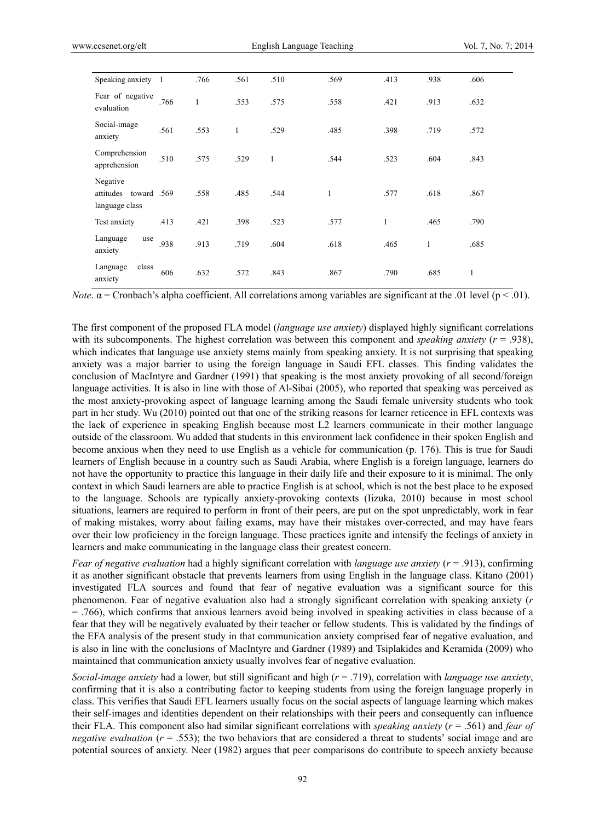| Speaking anxiety                                       | - 1  | .766         | .561         | .510         | .569         | .413         | .938 | .606 |
|--------------------------------------------------------|------|--------------|--------------|--------------|--------------|--------------|------|------|
| Fear of negative<br>evaluation                         | .766 | $\mathbf{1}$ | .553         | .575         | .558         | .421         | .913 | .632 |
| Social-image<br>anxiety                                | .561 | .553         | $\mathbf{1}$ | .529         | .485         | .398         | .719 | .572 |
| Comprehension<br>apprehension                          | .510 | .575         | .529         | $\mathbf{1}$ | .544         | .523         | .604 | .843 |
| Negative<br>attitudes<br>toward .569<br>language class |      | .558         | .485         | .544         | $\mathbf{1}$ | .577         | .618 | .867 |
| Test anxiety                                           | .413 | .421         | .398         | .523         | .577         | $\mathbf{1}$ | .465 | .790 |
| Language<br>use<br>anxiety                             | .938 | .913         | .719         | .604         | .618         | .465         | 1    | .685 |
| class<br>Language<br>anxiety                           | .606 | .632         | .572         | .843         | .867         | .790         | .685 | 1    |

*Note*.  $\alpha$  = Cronbach's alpha coefficient. All correlations among variables are significant at the .01 level ( $p < .01$ ).

The first component of the proposed FLA model (*language use anxiety*) displayed highly significant correlations with its subcomponents. The highest correlation was between this component and *speaking anxiety* (*r* = .938), which indicates that language use anxiety stems mainly from speaking anxiety. It is not surprising that speaking anxiety was a major barrier to using the foreign language in Saudi EFL classes. This finding validates the conclusion of MacIntyre and Gardner (1991) that speaking is the most anxiety provoking of all second/foreign language activities. It is also in line with those of Al-Sibai (2005), who reported that speaking was perceived as the most anxiety-provoking aspect of language learning among the Saudi female university students who took part in her study. Wu (2010) pointed out that one of the striking reasons for learner reticence in EFL contexts was the lack of experience in speaking English because most L2 learners communicate in their mother language outside of the classroom. Wu added that students in this environment lack confidence in their spoken English and become anxious when they need to use English as a vehicle for communication (p. 176). This is true for Saudi learners of English because in a country such as Saudi Arabia, where English is a foreign language, learners do not have the opportunity to practice this language in their daily life and their exposure to it is minimal. The only context in which Saudi learners are able to practice English is at school, which is not the best place to be exposed to the language. Schools are typically anxiety-provoking contexts (Iizuka, 2010) because in most school situations, learners are required to perform in front of their peers, are put on the spot unpredictably, work in fear of making mistakes, worry about failing exams, may have their mistakes over-corrected, and may have fears over their low proficiency in the foreign language. These practices ignite and intensify the feelings of anxiety in learners and make communicating in the language class their greatest concern.

*Fear of negative evaluation* had a highly significant correlation with *language use anxiety* (*r* = .913), confirming it as another significant obstacle that prevents learners from using English in the language class. Kitano (2001) investigated FLA sources and found that fear of negative evaluation was a significant source for this phenomenon. Fear of negative evaluation also had a strongly significant correlation with speaking anxiety (*r* = .766), which confirms that anxious learners avoid being involved in speaking activities in class because of a fear that they will be negatively evaluated by their teacher or fellow students. This is validated by the findings of the EFA analysis of the present study in that communication anxiety comprised fear of negative evaluation, and is also in line with the conclusions of MacIntyre and Gardner (1989) and Tsiplakides and Keramida (2009) who maintained that communication anxiety usually involves fear of negative evaluation.

*Social-image anxiety* had a lower, but still significant and high (*r* = .719), correlation with *language use anxiety*, confirming that it is also a contributing factor to keeping students from using the foreign language properly in class. This verifies that Saudi EFL learners usually focus on the social aspects of language learning which makes their self-images and identities dependent on their relationships with their peers and consequently can influence their FLA. This component also had similar significant correlations with *speaking anxiety* (*r* = .561) and *fear of negative evaluation*  $(r = .553)$ ; the two behaviors that are considered a threat to students' social image and are potential sources of anxiety. Neer (1982) argues that peer comparisons do contribute to speech anxiety because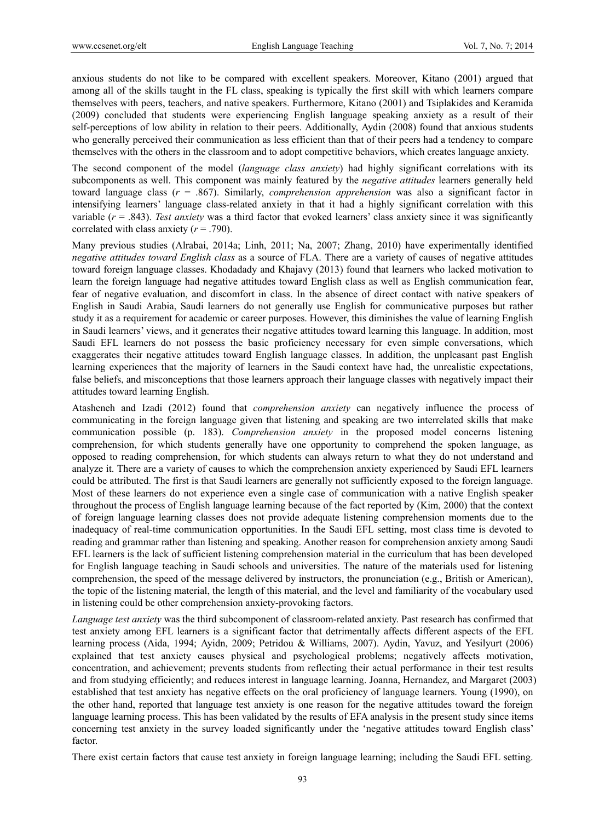anxious students do not like to be compared with excellent speakers. Moreover, Kitano (2001) argued that among all of the skills taught in the FL class, speaking is typically the first skill with which learners compare themselves with peers, teachers, and native speakers. Furthermore, Kitano (2001) and Tsiplakides and Keramida (2009) concluded that students were experiencing English language speaking anxiety as a result of their self-perceptions of low ability in relation to their peers. Additionally, Aydin (2008) found that anxious students who generally perceived their communication as less efficient than that of their peers had a tendency to compare themselves with the others in the classroom and to adopt competitive behaviors, which creates language anxiety.

The second component of the model (*language class anxiety*) had highly significant correlations with its subcomponents as well. This component was mainly featured by the *negative attitudes* learners generally held toward language class (*r* = .867). Similarly, *comprehension apprehension* was also a significant factor in intensifying learners' language class-related anxiety in that it had a highly significant correlation with this variable  $(r = .843)$ . *Test anxiety* was a third factor that evoked learners' class anxiety since it was significantly correlated with class anxiety  $(r = .790)$ .

Many previous studies (Alrabai, 2014a; Linh, 2011; Na, 2007; Zhang, 2010) have experimentally identified *negative attitudes toward English class* as a source of FLA. There are a variety of causes of negative attitudes toward foreign language classes. Khodadady and Khajavy (2013) found that learners who lacked motivation to learn the foreign language had negative attitudes toward English class as well as English communication fear, fear of negative evaluation, and discomfort in class. In the absence of direct contact with native speakers of English in Saudi Arabia, Saudi learners do not generally use English for communicative purposes but rather study it as a requirement for academic or career purposes. However, this diminishes the value of learning English in Saudi learners' views, and it generates their negative attitudes toward learning this language. In addition, most Saudi EFL learners do not possess the basic proficiency necessary for even simple conversations, which exaggerates their negative attitudes toward English language classes. In addition, the unpleasant past English learning experiences that the majority of learners in the Saudi context have had, the unrealistic expectations, false beliefs, and misconceptions that those learners approach their language classes with negatively impact their attitudes toward learning English.

Atasheneh and Izadi (2012) found that *comprehension anxiety* can negatively influence the process of communicating in the foreign language given that listening and speaking are two interrelated skills that make communication possible (p. 183). *Comprehension anxiety* in the proposed model concerns listening comprehension, for which students generally have one opportunity to comprehend the spoken language, as opposed to reading comprehension, for which students can always return to what they do not understand and analyze it. There are a variety of causes to which the comprehension anxiety experienced by Saudi EFL learners could be attributed. The first is that Saudi learners are generally not sufficiently exposed to the foreign language. Most of these learners do not experience even a single case of communication with a native English speaker throughout the process of English language learning because of the fact reported by (Kim, 2000) that the context of foreign language learning classes does not provide adequate listening comprehension moments due to the inadequacy of real-time communication opportunities. In the Saudi EFL setting, most class time is devoted to reading and grammar rather than listening and speaking. Another reason for comprehension anxiety among Saudi EFL learners is the lack of sufficient listening comprehension material in the curriculum that has been developed for English language teaching in Saudi schools and universities. The nature of the materials used for listening comprehension, the speed of the message delivered by instructors, the pronunciation (e.g., British or American), the topic of the listening material, the length of this material, and the level and familiarity of the vocabulary used in listening could be other comprehension anxiety-provoking factors.

*Language test anxiety* was the third subcomponent of classroom-related anxiety. Past research has confirmed that test anxiety among EFL learners is a significant factor that detrimentally affects different aspects of the EFL learning process (Aida, 1994; Ayidn, 2009; Petridou & Williams, 2007). Aydin, Yavuz, and Yesilyurt (2006) explained that test anxiety causes physical and psychological problems; negatively affects motivation, concentration, and achievement; prevents students from reflecting their actual performance in their test results and from studying efficiently; and reduces interest in language learning. Joanna, Hernandez, and Margaret (2003) established that test anxiety has negative effects on the oral proficiency of language learners. Young (1990), on the other hand, reported that language test anxiety is one reason for the negative attitudes toward the foreign language learning process. This has been validated by the results of EFA analysis in the present study since items concerning test anxiety in the survey loaded significantly under the 'negative attitudes toward English class' factor.

There exist certain factors that cause test anxiety in foreign language learning; including the Saudi EFL setting.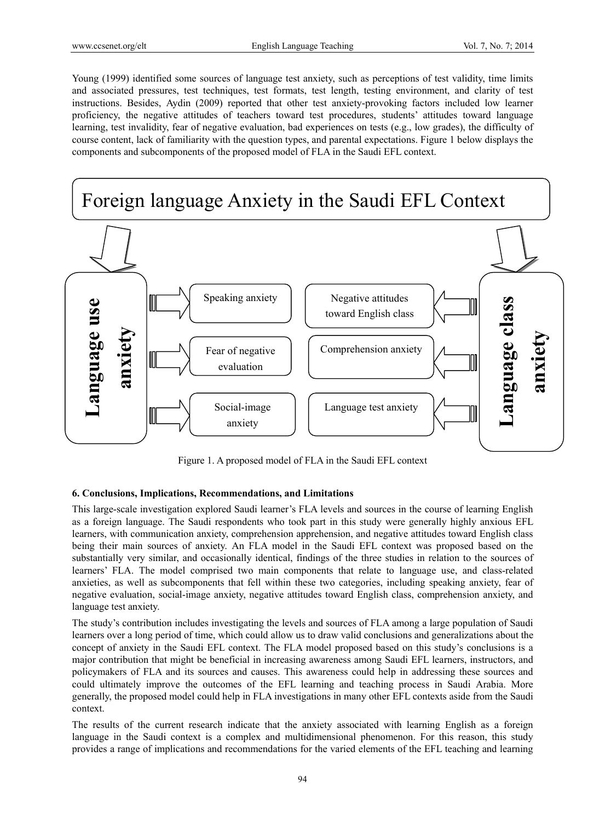Young (1999) identified some sources of language test anxiety, such as perceptions of test validity, time limits and associated pressures, test techniques, test formats, test length, testing environment, and clarity of test instructions. Besides, Aydin (2009) reported that other test anxiety-provoking factors included low learner proficiency, the negative attitudes of teachers toward test procedures, students' attitudes toward language learning, test invalidity, fear of negative evaluation, bad experiences on tests (e.g., low grades), the difficulty of course content, lack of familiarity with the question types, and parental expectations. Figure 1 below displays the components and subcomponents of the proposed model of FLA in the Saudi EFL context.



Figure 1. A proposed model of FLA in the Saudi EFL context

#### **6. Conclusions, Implications, Recommendations, and Limitations**

This large-scale investigation explored Saudi learner's FLA levels and sources in the course of learning English as a foreign language. The Saudi respondents who took part in this study were generally highly anxious EFL learners, with communication anxiety, comprehension apprehension, and negative attitudes toward English class being their main sources of anxiety. An FLA model in the Saudi EFL context was proposed based on the substantially very similar, and occasionally identical, findings of the three studies in relation to the sources of learners' FLA. The model comprised two main components that relate to language use, and class-related anxieties, as well as subcomponents that fell within these two categories, including speaking anxiety, fear of negative evaluation, social-image anxiety, negative attitudes toward English class, comprehension anxiety, and language test anxiety.

The study's contribution includes investigating the levels and sources of FLA among a large population of Saudi learners over a long period of time, which could allow us to draw valid conclusions and generalizations about the concept of anxiety in the Saudi EFL context. The FLA model proposed based on this study's conclusions is a major contribution that might be beneficial in increasing awareness among Saudi EFL learners, instructors, and policymakers of FLA and its sources and causes. This awareness could help in addressing these sources and could ultimately improve the outcomes of the EFL learning and teaching process in Saudi Arabia. More generally, the proposed model could help in FLA investigations in many other EFL contexts aside from the Saudi context.

The results of the current research indicate that the anxiety associated with learning English as a foreign language in the Saudi context is a complex and multidimensional phenomenon. For this reason, this study provides a range of implications and recommendations for the varied elements of the EFL teaching and learning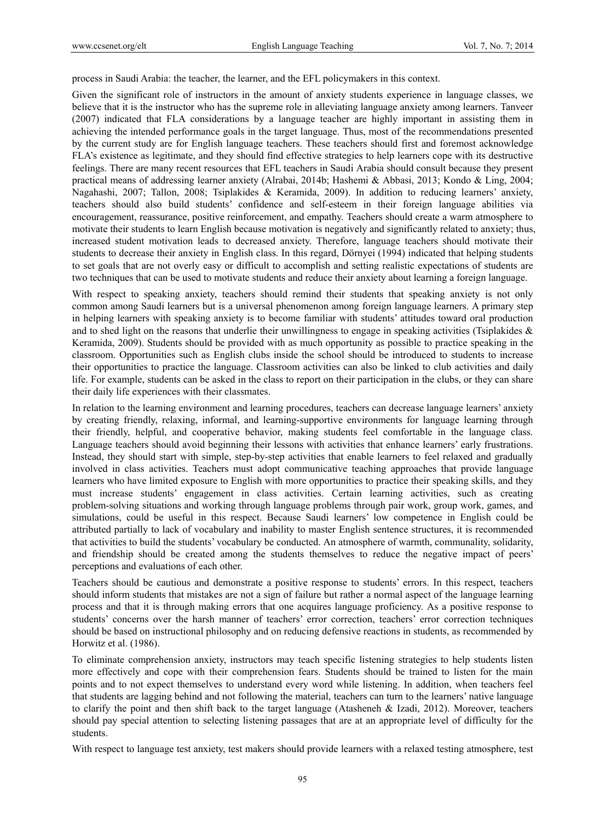process in Saudi Arabia: the teacher, the learner, and the EFL policymakers in this context.

Given the significant role of instructors in the amount of anxiety students experience in language classes, we believe that it is the instructor who has the supreme role in alleviating language anxiety among learners. Tanveer (2007) indicated that FLA considerations by a language teacher are highly important in assisting them in achieving the intended performance goals in the target language. Thus, most of the recommendations presented by the current study are for English language teachers. These teachers should first and foremost acknowledge FLA's existence as legitimate, and they should find effective strategies to help learners cope with its destructive feelings. There are many recent resources that EFL teachers in Saudi Arabia should consult because they present practical means of addressing learner anxiety (Alrabai, 2014b; Hashemi & Abbasi, 2013; Kondo & Ling, 2004; Nagahashi, 2007; Tallon, 2008; Tsiplakides & Keramida, 2009). In addition to reducing learners' anxiety, teachers should also build students' confidence and self-esteem in their foreign language abilities via encouragement, reassurance, positive reinforcement, and empathy. Teachers should create a warm atmosphere to motivate their students to learn English because motivation is negatively and significantly related to anxiety; thus, increased student motivation leads to decreased anxiety. Therefore, language teachers should motivate their students to decrease their anxiety in English class. In this regard, Dörnyei (1994) indicated that helping students to set goals that are not overly easy or difficult to accomplish and setting realistic expectations of students are two techniques that can be used to motivate students and reduce their anxiety about learning a foreign language.

With respect to speaking anxiety, teachers should remind their students that speaking anxiety is not only common among Saudi learners but is a universal phenomenon among foreign language learners. A primary step in helping learners with speaking anxiety is to become familiar with students' attitudes toward oral production and to shed light on the reasons that underlie their unwillingness to engage in speaking activities (Tsiplakides  $\&$ Keramida, 2009). Students should be provided with as much opportunity as possible to practice speaking in the classroom. Opportunities such as English clubs inside the school should be introduced to students to increase their opportunities to practice the language. Classroom activities can also be linked to club activities and daily life. For example, students can be asked in the class to report on their participation in the clubs, or they can share their daily life experiences with their classmates.

In relation to the learning environment and learning procedures, teachers can decrease language learners' anxiety by creating friendly, relaxing, informal, and learning-supportive environments for language learning through their friendly, helpful, and cooperative behavior, making students feel comfortable in the language class. Language teachers should avoid beginning their lessons with activities that enhance learners' early frustrations. Instead, they should start with simple, step-by-step activities that enable learners to feel relaxed and gradually involved in class activities. Teachers must adopt communicative teaching approaches that provide language learners who have limited exposure to English with more opportunities to practice their speaking skills, and they must increase students' engagement in class activities. Certain learning activities, such as creating problem-solving situations and working through language problems through pair work, group work, games, and simulations, could be useful in this respect. Because Saudi learners' low competence in English could be attributed partially to lack of vocabulary and inability to master English sentence structures, it is recommended that activities to build the students' vocabulary be conducted. An atmosphere of warmth, communality, solidarity, and friendship should be created among the students themselves to reduce the negative impact of peers' perceptions and evaluations of each other.

Teachers should be cautious and demonstrate a positive response to students' errors. In this respect, teachers should inform students that mistakes are not a sign of failure but rather a normal aspect of the language learning process and that it is through making errors that one acquires language proficiency. As a positive response to students' concerns over the harsh manner of teachers' error correction, teachers' error correction techniques should be based on instructional philosophy and on reducing defensive reactions in students, as recommended by Horwitz et al. (1986).

To eliminate comprehension anxiety, instructors may teach specific listening strategies to help students listen more effectively and cope with their comprehension fears. Students should be trained to listen for the main points and to not expect themselves to understand every word while listening. In addition, when teachers feel that students are lagging behind and not following the material, teachers can turn to the learners' native language to clarify the point and then shift back to the target language (Atasheneh & Izadi, 2012). Moreover, teachers should pay special attention to selecting listening passages that are at an appropriate level of difficulty for the students.

With respect to language test anxiety, test makers should provide learners with a relaxed testing atmosphere, test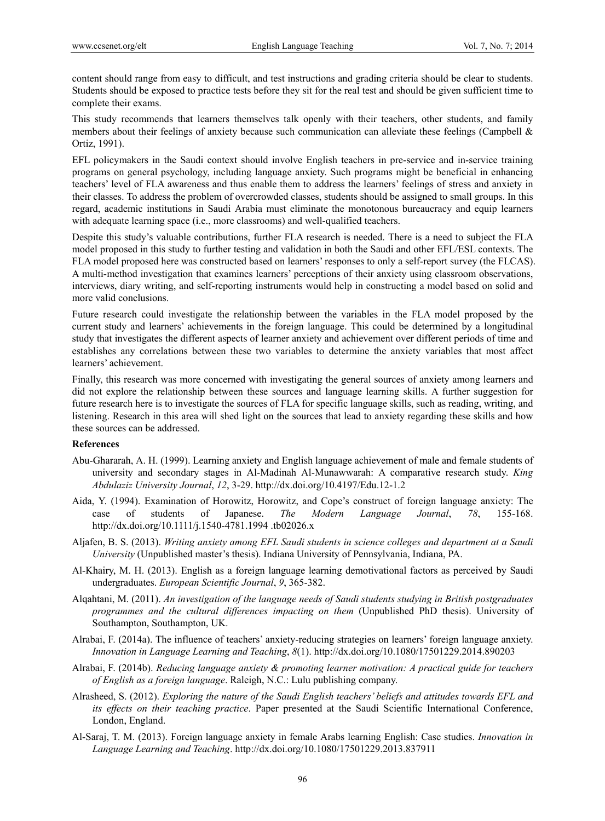content should range from easy to difficult, and test instructions and grading criteria should be clear to students. Students should be exposed to practice tests before they sit for the real test and should be given sufficient time to complete their exams.

This study recommends that learners themselves talk openly with their teachers, other students, and family members about their feelings of anxiety because such communication can alleviate these feelings (Campbell & Ortiz, 1991).

EFL policymakers in the Saudi context should involve English teachers in pre-service and in-service training programs on general psychology, including language anxiety. Such programs might be beneficial in enhancing teachers' level of FLA awareness and thus enable them to address the learners' feelings of stress and anxiety in their classes. To address the problem of overcrowded classes, students should be assigned to small groups. In this regard, academic institutions in Saudi Arabia must eliminate the monotonous bureaucracy and equip learners with adequate learning space (i.e., more classrooms) and well-qualified teachers.

Despite this study's valuable contributions, further FLA research is needed. There is a need to subject the FLA model proposed in this study to further testing and validation in both the Saudi and other EFL/ESL contexts. The FLA model proposed here was constructed based on learners' responses to only a self-report survey (the FLCAS). A multi-method investigation that examines learners' perceptions of their anxiety using classroom observations, interviews, diary writing, and self-reporting instruments would help in constructing a model based on solid and more valid conclusions.

Future research could investigate the relationship between the variables in the FLA model proposed by the current study and learners' achievements in the foreign language. This could be determined by a longitudinal study that investigates the different aspects of learner anxiety and achievement over different periods of time and establishes any correlations between these two variables to determine the anxiety variables that most affect learners' achievement.

Finally, this research was more concerned with investigating the general sources of anxiety among learners and did not explore the relationship between these sources and language learning skills. A further suggestion for future research here is to investigate the sources of FLA for specific language skills, such as reading, writing, and listening. Research in this area will shed light on the sources that lead to anxiety regarding these skills and how these sources can be addressed.

## **References**

- Abu-Ghararah, A. H. (1999). Learning anxiety and English language achievement of male and female students of university and secondary stages in Al-Madinah Al-Munawwarah: A comparative research study. *King Abdulaziz University Journal*, *12*, 3-29. http://dx.doi.org/10.4197/Edu.12-1.2
- Aida, Y. (1994). Examination of Horowitz, Horowitz, and Cope's construct of foreign language anxiety: The case of students of Japanese. *The Modern Language Journal*, *78*, 155-168. http://dx.doi.org/10.1111/j.1540-4781.1994 .tb02026.x
- Aljafen, B. S. (2013). *Writing anxiety among EFL Saudi students in science colleges and department at a Saudi University* (Unpublished master's thesis). Indiana University of Pennsylvania, Indiana, PA.
- Al-Khairy, M. H. (2013). English as a foreign language learning demotivational factors as perceived by Saudi undergraduates. *European Scientific Journal*, *9*, 365-382.
- Alqahtani, M. (2011). *An investigation of the language needs of Saudi students studying in British postgraduates programmes and the cultural differences impacting on them* (Unpublished PhD thesis). University of Southampton, Southampton, UK.
- Alrabai, F. (2014a). The influence of teachers' anxiety-reducing strategies on learners' foreign language anxiety. *Innovation in Language Learning and Teaching*, *8*(1). http://dx.doi.org/10.1080/17501229.2014.890203
- Alrabai, F. (2014b). *Reducing language anxiety & promoting learner motivation: A practical guide for teachers of English as a foreign language*. Raleigh, N.C.: Lulu publishing company.
- Alrasheed, S. (2012). *Exploring the nature of the Saudi English teachers' beliefs and attitudes towards EFL and its effects on their teaching practice*. Paper presented at the Saudi Scientific International Conference, London, England.
- Al-Saraj, T. M. (2013). Foreign language anxiety in female Arabs learning English: Case studies. *Innovation in Language Learning and Teaching*. http://dx.doi.org/10.1080/17501229.2013.837911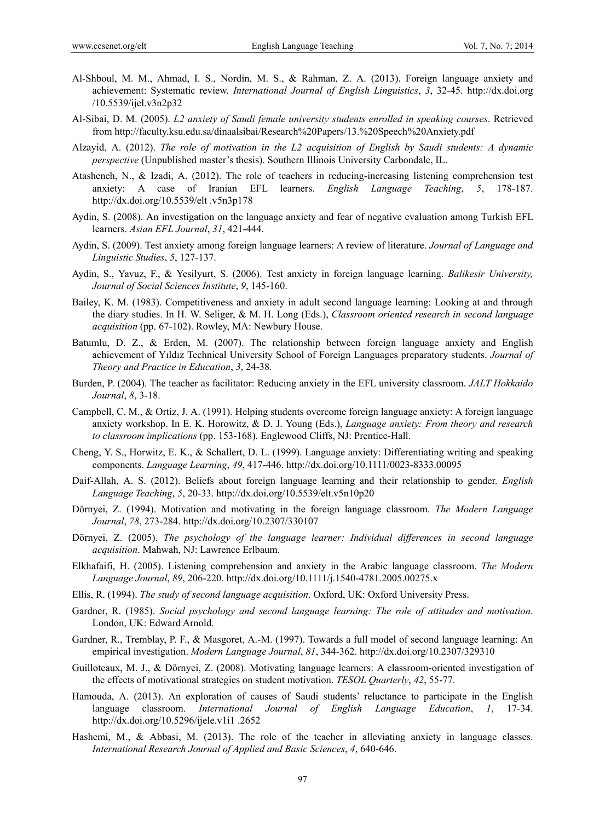- Al-Shboul, M. M., Ahmad, I. S., Nordin, M. S., & Rahman, Z. A. (2013). Foreign language anxiety and achievement: Systematic review. *International Journal of English Linguistics*, *3*, 32-45. http://dx.doi.org /10.5539/ijel.v3n2p32
- Al-Sibai, D. M. (2005). *L2 anxiety of Saudi female university students enrolled in speaking courses*. Retrieved from http://faculty.ksu.edu.sa/dinaalsibai/Research%20Papers/13.%20Speech%20Anxiety.pdf
- Alzayid, A. (2012). *The role of motivation in the L2 acquisition of English by Saudi students: A dynamic perspective* (Unpublished master's thesis). Southern Illinois University Carbondale, IL.
- Atasheneh, N., & Izadi, A. (2012). The role of teachers in reducing-increasing listening comprehension test anxiety: A case of Iranian EFL learners. *English Language Teaching*, *5*, 178-187. http://dx.doi.org/10.5539/elt .v5n3p178
- Aydin, S. (2008). An investigation on the language anxiety and fear of negative evaluation among Turkish EFL learners. *Asian EFL Journal*, *31*, 421-444.
- Aydin, S. (2009). Test anxiety among foreign language learners: A review of literature. *Journal of Language and Linguistic Studies*, *5*, 127-137.
- Aydin, S., Yavuz, F., & Yesilyurt, S. (2006). Test anxiety in foreign language learning. *Balikesir University, Journal of Social Sciences Institute*, *9*, 145-160.
- Bailey, K. M. (1983). Competitiveness and anxiety in adult second language learning: Looking at and through the diary studies. In H. W. Seliger, & M. H. Long (Eds.), *Classroom oriented research in second language acquisition* (pp. 67-102). Rowley, MA: Newbury House.
- Batumlu, D. Z., & Erden, M. (2007). The relationship between foreign language anxiety and English achievement of Yıldız Technical University School of Foreign Languages preparatory students. *Journal of Theory and Practice in Education*, *3*, 24-38*.*
- Burden, P. (2004). The teacher as facilitator: Reducing anxiety in the EFL university classroom. *JALT Hokkaido Journal*, *8*, 3-18.
- Campbell, C. M., & Ortiz, J. A. (1991). Helping students overcome foreign language anxiety: A foreign language anxiety workshop. In E. K. Horowitz, & D. J. Young (Eds.), *Language anxiety: From theory and research to classroom implications* (pp. 153-168). Englewood Cliffs, NJ: Prentice-Hall.
- Cheng, Y. S., Horwitz, E. K., & Schallert, D. L. (1999). Language anxiety: Differentiating writing and speaking components. *Language Learning*, *49*, 417-446. http://dx.doi.org/10.1111/0023-8333.00095
- Daif-Allah, A. S. (2012). Beliefs about foreign language learning and their relationship to gender. *English Language Teaching*, *5*, 20-33. http://dx.doi.org/10.5539/elt.v5n10p20
- Dörnyei, Z. (1994). Motivation and motivating in the foreign language classroom. *The Modern Language Journal*, *78*, 273-284. http://dx.doi.org/10.2307/330107
- Dörnyei, Z. (2005). *The psychology of the language learner: Individual differences in second language acquisition*. Mahwah, NJ: Lawrence Erlbaum.
- Elkhafaifi, H. (2005). Listening comprehension and anxiety in the Arabic language classroom. *The Modern Language Journal*, *89*, 206-220. http://dx.doi.org/10.1111/j.1540-4781.2005.00275.x
- Ellis, R. (1994). *The study of second language acquisition*. Oxford, UK: Oxford University Press.
- Gardner, R. (1985). *Social psychology and second language learning: The role of attitudes and motivation*. London, UK: Edward Arnold.
- Gardner, R., Tremblay, P. F., & Masgoret, A.-M. (1997). Towards a full model of second language learning: An empirical investigation. *Modern Language Journal*, *81*, 344-362. http://dx.doi.org/10.2307/329310
- Guilloteaux, M. J., & Dörnyei, Z. (2008). Motivating language learners: A classroom-oriented investigation of the effects of motivational strategies on student motivation. *TESOL Quarterly*, *42*, 55-77.
- Hamouda, A. (2013). An exploration of causes of Saudi students' reluctance to participate in the English language classroom. *International Journal of English Language Education*, *1*, 17-34. http://dx.doi.org/10.5296/ijele.v1i1 .2652
- Hashemi, M., & Abbasi, M. (2013). The role of the teacher in alleviating anxiety in language classes. *International Research Journal of Applied and Basic Sciences*, *4*, 640-646.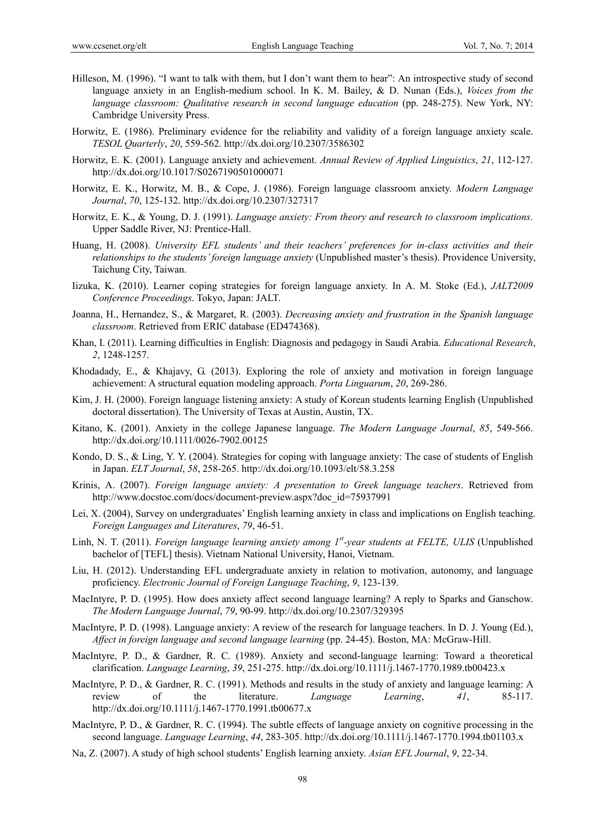- Hilleson, M. (1996). "I want to talk with them, but I don't want them to hear": An introspective study of second language anxiety in an English-medium school. In K. M. Bailey, & D. Nunan (Eds.), *Voices from the language classroom: Qualitative research in second language education* (pp. 248-275). New York, NY: Cambridge University Press.
- Horwitz, E. (1986). Preliminary evidence for the reliability and validity of a foreign language anxiety scale. *TESOL Quarterly*, *20*, 559-562. http://dx.doi.org/10.2307/3586302
- Horwitz, E. K. (2001). Language anxiety and achievement. *Annual Review of Applied Linguistics*, *21*, 112-127. http://dx.doi.org/10.1017/S0267190501000071
- Horwitz, E. K., Horwitz, M. B., & Cope, J. (1986). Foreign language classroom anxiety. *Modern Language Journal*, *70*, 125-132. http://dx.doi.org/10.2307/327317
- Horwitz, E. K., & Young, D. J. (1991). *Language anxiety: From theory and research to classroom implications*. Upper Saddle River, NJ: Prentice-Hall.
- Huang, H. (2008). *University EFL students' and their teachers' preferences for in-class activities and their relationships to the students' foreign language anxiety* (Unpublished master's thesis). Providence University, Taichung City, Taiwan.
- Iizuka, K. (2010). Learner coping strategies for foreign language anxiety. In A. M. Stoke (Ed.), *JALT2009 Conference Proceedings*. Tokyo, Japan: JALT.
- Joanna, H., Hernandez, S., & Margaret, R. (2003). *Decreasing anxiety and frustration in the Spanish language classroom*. Retrieved from ERIC database (ED474368).
- Khan, I. (2011). Learning difficulties in English: Diagnosis and pedagogy in Saudi Arabia. *Educational Research*, *2*, 1248-1257.
- Khodadady, E., & Khajavy, G. (2013). Exploring the role of anxiety and motivation in foreign language achievement: A structural equation modeling approach. *Porta Linguarum*, *20*, 269-286.
- Kim, J. H. (2000). Foreign language listening anxiety: A study of Korean students learning English (Unpublished doctoral dissertation). The University of Texas at Austin, Austin, TX.
- Kitano, K. (2001). Anxiety in the college Japanese language. *The Modern Language Journal*, *85*, 549-566. http://dx.doi.org/10.1111/0026-7902.00125
- Kondo, D. S., & Ling, Y. Y. (2004). Strategies for coping with language anxiety: The case of students of English in Japan. *ELT Journal*, *58*, 258-265. http://dx.doi.org/10.1093/elt/58.3.258
- Krinis, A. (2007). *Foreign language anxiety: A presentation to Greek language teachers*. Retrieved from http://www.docstoc.com/docs/document-preview.aspx?doc\_id=75937991
- Lei, X. (2004), Survey on undergraduates' English learning anxiety in class and implications on English teaching. *Foreign Languages and Literatures*, *79*, 46-51.
- Linh, N. T. (2011). *Foreign language learning anxiety among 1st-year students at FELTE, ULIS* (Unpublished bachelor of [TEFL] thesis). Vietnam National University, Hanoi, Vietnam.
- Liu, H. (2012). Understanding EFL undergraduate anxiety in relation to motivation, autonomy, and language proficiency. *Electronic Journal of Foreign Language Teaching*, *9*, 123-139.
- MacIntyre, P. D. (1995). How does anxiety affect second language learning? A reply to Sparks and Ganschow. *The Modern Language Journal*, *79*, 90-99. http://dx.doi.org/10.2307/329395
- MacIntyre, P. D. (1998). Language anxiety: A review of the research for language teachers. In D. J. Young (Ed.), *Affect in foreign language and second language learning* (pp. 24-45). Boston, MA: McGraw-Hill.
- MacIntyre, P. D., & Gardner, R. C. (1989). Anxiety and second-language learning: Toward a theoretical clarification. *Language Learning*, *39*, 251-275. http://dx.doi.org/10.1111/j.1467-1770.1989.tb00423.x
- MacIntyre, P. D., & Gardner, R. C. (1991). Methods and results in the study of anxiety and language learning: A review of the literature. *Language Learning*, *41*, 85-117. http://dx.doi.org/10.1111/j.1467-1770.1991.tb00677.x
- MacIntyre, P. D., & Gardner, R. C. (1994). The subtle effects of language anxiety on cognitive processing in the second language. *Language Learning*, *44*, 283-305. http://dx.doi.org/10.1111/j.1467-1770.1994.tb01103.x
- Na, Z. (2007). A study of high school students' English learning anxiety. *Asian EFL Journal*, *9*, 22-34.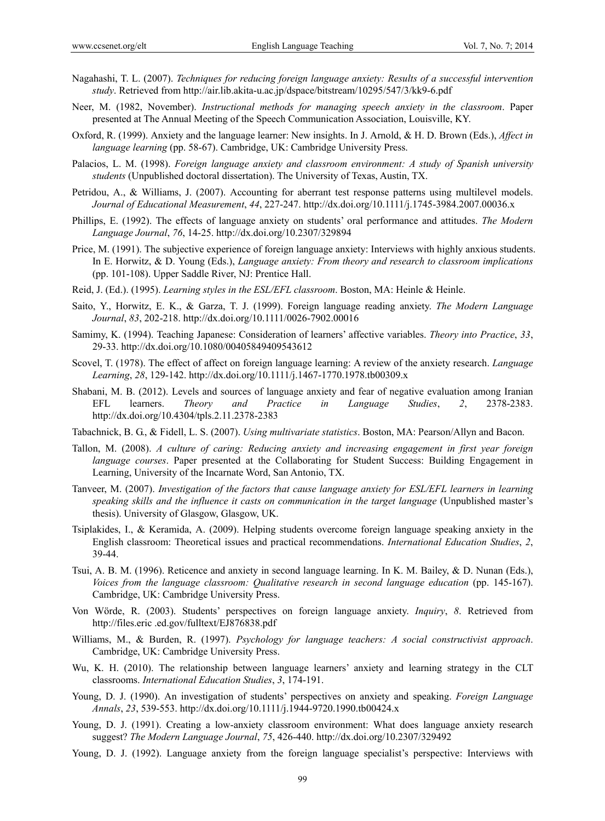- Nagahashi, T. L. (2007). *Techniques for reducing foreign language anxiety: Results of a successful intervention study*. Retrieved from http://air.lib.akita-u.ac.jp/dspace/bitstream/10295/547/3/kk9-6.pdf
- Neer, M. (1982, November). *Instructional methods for managing speech anxiety in the classroom*. Paper presented at The Annual Meeting of the Speech Communication Association, Louisville, KY.
- Oxford, R. (1999). Anxiety and the language learner: New insights. In J. Arnold, & H. D. Brown (Eds.), *Affect in language learning* (pp. 58-67). Cambridge, UK: Cambridge University Press.
- Palacios, L. M. (1998). *Foreign language anxiety and classroom environment: A study of Spanish university students* (Unpublished doctoral dissertation). The University of Texas, Austin, TX.
- Petridou, A., & Williams, J. (2007). Accounting for aberrant test response patterns using multilevel models. *Journal of Educational Measurement*, *44*, 227-247. http://dx.doi.org/10.1111/j.1745-3984.2007.00036.x
- Phillips, E. (1992). The effects of language anxiety on students' oral performance and attitudes. *The Modern Language Journal*, *76*, 14-25. http://dx.doi.org/10.2307/329894
- Price, M. (1991). The subjective experience of foreign language anxiety: Interviews with highly anxious students. In E. Horwitz, & D. Young (Eds.), *Language anxiety: From theory and research to classroom implications*  (pp. 101-108). Upper Saddle River, NJ: Prentice Hall.
- Reid, J. (Ed.). (1995). *Learning styles in the ESL/EFL classroom*. Boston, MA: Heinle & Heinle.
- Saito, Y., Horwitz, E. K., & Garza, T. J. (1999). Foreign language reading anxiety. *The Modern Language Journal*, *83*, 202-218. http://dx.doi.org/10.1111/0026-7902.00016
- Samimy, K. (1994). Teaching Japanese: Consideration of learners' affective variables. *Theory into Practice*, *33*, 29-33. http://dx.doi.org/10.1080/00405849409543612
- Scovel, T. (1978). The effect of affect on foreign language learning: A review of the anxiety research. *Language Learning*, *28*, 129-142. http://dx.doi.org/10.1111/j.1467-1770.1978.tb00309.x
- Shabani, M. B. (2012). Levels and sources of language anxiety and fear of negative evaluation among Iranian EFL learners. *Theory and Practice in Language Studies*, *2*, 2378-2383. http://dx.doi.org/10.4304/tpls.2.11.2378-2383
- Tabachnick, B. G., & Fidell, L. S. (2007). *Using multivariate statistics*. Boston, MA: Pearson/Allyn and Bacon.
- Tallon, M. (2008). *A culture of caring: Reducing anxiety and increasing engagement in first year foreign language courses*. Paper presented at the Collaborating for Student Success: Building Engagement in Learning, University of the Incarnate Word, San Antonio, TX.
- Tanveer, M. (2007). *Investigation of the factors that cause language anxiety for ESL/EFL learners in learning speaking skills and the influence it casts on communication in the target language* (Unpublished master's thesis). University of Glasgow, Glasgow, UK.
- Tsiplakides, I., & Keramida, A. (2009). Helping students overcome foreign language speaking anxiety in the English classroom: Theoretical issues and practical recommendations. *International Education Studies*, *2*, 39-44.
- Tsui, A. B. M. (1996). Reticence and anxiety in second language learning. In K. M. Bailey, & D. Nunan (Eds.), *Voices from the language classroom: Qualitative research in second language education* (pp. 145-167). Cambridge, UK: Cambridge University Press.
- Von Wörde, R. (2003). Students' perspectives on foreign language anxiety. *Inquiry*, *8*. Retrieved from http://files.eric .ed.gov/fulltext/EJ876838.pdf
- Williams, M., & Burden, R. (1997). *Psychology for language teachers: A social constructivist approach*. Cambridge, UK: Cambridge University Press.
- Wu, K. H. (2010). The relationship between language learners' anxiety and learning strategy in the CLT classrooms. *International Education Studies*, *3*, 174-191.
- Young, D. J. (1990). An investigation of students' perspectives on anxiety and speaking. *Foreign Language Annals*, *23*, 539-553. http://dx.doi.org/10.1111/j.1944-9720.1990.tb00424.x
- Young, D. J. (1991). Creating a low-anxiety classroom environment: What does language anxiety research suggest? *The Modern Language Journal*, *75*, 426-440. http://dx.doi.org/10.2307/329492
- Young, D. J. (1992). Language anxiety from the foreign language specialist's perspective: Interviews with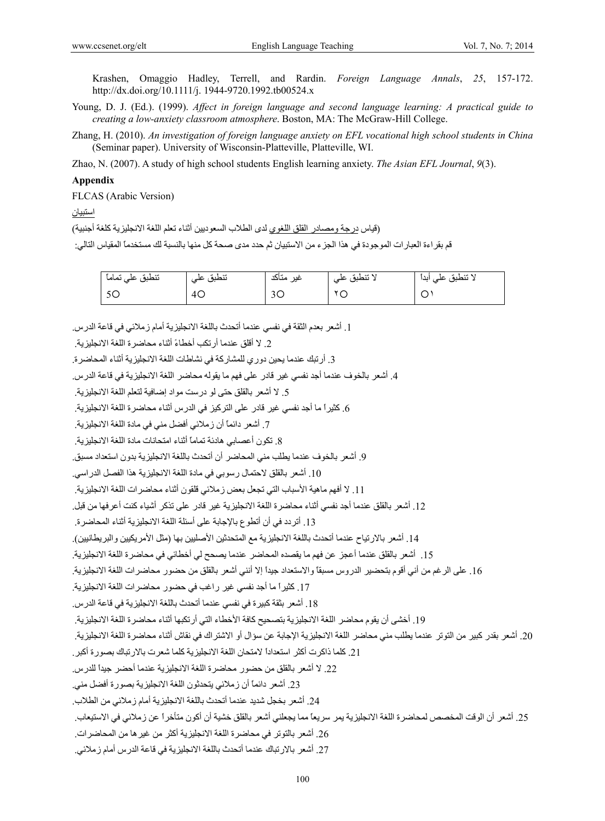Krashen, Omaggio Hadley, Terrell, and Rardin. *Foreign Language Annals*, *25*, 157-172. http://dx.doi.org/10.1111/j. 1944-9720.1992.tb00524.x

- Young, D. J. (Ed.). (1999). *Affect in foreign language and second language learning: A practical guide to creating a low-anxiety classroom atmosphere*. Boston, MA: The McGraw-Hill College.
- Zhang, H. (2010). *An investigation of foreign language anxiety on EFL vocational high school students in China* (Seminar paper). University of Wisconsin-Platteville, Platteville, WI.

Zhao, N. (2007). A study of high school students English learning anxiety. *The Asian EFL Journal*, *9*(3).

#### **Appendix**

FLCAS (Arabic Version)

استبيان

(قياس درجة ومصادر القلق اللغوي لدى الطلاب السعوديين أثناء تعلم اللغة الانجليزية آلغة أجنبية)

قم بقراءة العبارات الموجودة في هذا الجزء من الاستبيان ثم حدد مدى صحة آل منها بالنسبة لك مستخدماً المقياس التالي:

| تنطبق علي تمامأ | تنطبق<br>علي | متاكد<br>عير   | '` تنطبق عل <i>ي</i> | لا تنطبق علي<br>اندا |
|-----------------|--------------|----------------|----------------------|----------------------|
| 5 <sup>C</sup>  | 40           | 3 <sup>C</sup> | ◡                    | ◡                    |

.1 أشعر بعدم الثقة في نفسي عندما أتحدث باللغة الانجليزية أمام زملائي في قاعة الدرس . .2 لا أقلق عندما أرتكب أخطاءً أثناء محاضرة اللغة الانجليزية . 3. أر تبك عندما يحين دوري للمشاركة في نشاطات اللغة الانجليزية أثناء المحاضرة . .4 أشعر بالخوف عندما أجد نفسي غير قادر على فهم ما يقوله محاضر اللغة الانجليزية في قاعة الدرس . .5 لا أشعر بالقلق حتى لو درست مواد إضافية لتعلم اللغة الانجليزية . .6 آثيراً ما أجد نفسي غير قادر على الترآيز في الدرس أثناء محاضرة اللغة الانجليزية . .7 أشعر دائماً أن زملائي أفضل مني في مادة اللغة الانجليزية . .8 تكون أعصابي هادئة تماماً أثناء امتحانات مادة اللغة الانجليزية . .9 أشعر بالخوف عندما يطلب مني المحاضر أن أتحدث باللغة الانجليزية بدون استعداد مسبق . .10 أشعر بالقلق لاحتمال رسوبي في مادة اللغة الانجليزية هذا الفصل الدراسي . .11 لا أفهم ماهية الأسباب التي تجعل بعض زملائي قلقون أثناء محاضرات اللغة الانجليزية . 12. أشعر بالقلق عندما أجد نفسي أثناء محاضرة اللغة الانجليزية غير قادر على تذكر أشياء كنت أعرفها من قبل. .13 أتردد في أن أتطوع بالإجابة على أسئلة اللغة الانجليزية أثناء المحاضرة . .14 أشعر بالارتياح عندما أتحدث باللغة الانجليزية مع المتحدثين الأصليين بها (مثل الأمريكيين والبريطانيين). .15 أشعر بالقلق عندما أعجز عن فهم ما يقصده المحاضر عندما يصحح لي أخطائي في محاضرة اللغة الانجليزية. .16 على الرغم من أني أقوم بتحضير الدروس مسبقاً والاستعداد جيداً إلا أنني أشعر بالقلق من حضور محاضرات اللغة الانجليزية. .17 آثيراً ما أجد نفسي غير راغب في حضور محاضرات اللغة الانجليزية . 18. أشعر بثقة كبيرة في نفسي عندما أتحدث باللغة الانجليزية في قاعة الدرس. 19. أخشى أن يقوم محاضر اللغة الانجليزية بتصحيح كافة الأخطاء التي أرتكبها أثناء محاضرة اللغة الانجليزية. .20 أشعر بقدر آبير من التوتر عندما يطلب مني محاضر اللغة الانجليزية الإجابة عن سؤال أو الاشتراك في نقاش أثناء محاضرة اللغة الانجليزية. 21. كلما ذاكرت أكثر استعداداً لامتحان اللغة الانجليزية كلما شعرت بالارتباك بصورة أكبر . .22 لا أشعر بالقلق من حضور محاضرة اللغة الانجليزية عندما أحضر جيداً للدرس . .23 أشعر دائماً أن زملائي يتحدثون اللغة الانجليزية بصورة أفضل مني . .24 أشعر بخجل شديد عندما أتحدث باللغة الانجليزية أمام زملائي من الطلاب . 25. أشعر أن الوقت المخصص لمحاضرة اللغة الانجليزية يمر سريعاً مما يجعلني أشعر بالقلق خشية أن أكون متأخر أ عن زملائي في الاستيعاب. .26 أشعر بالتوتر في محاضرة اللغة الانجليزية أآثر من غيرها من المحاضرات . .27 أشعر بالارتباك عندما أتحدث باللغة الانجليزية في قاعة الدرس أمام زملائي .